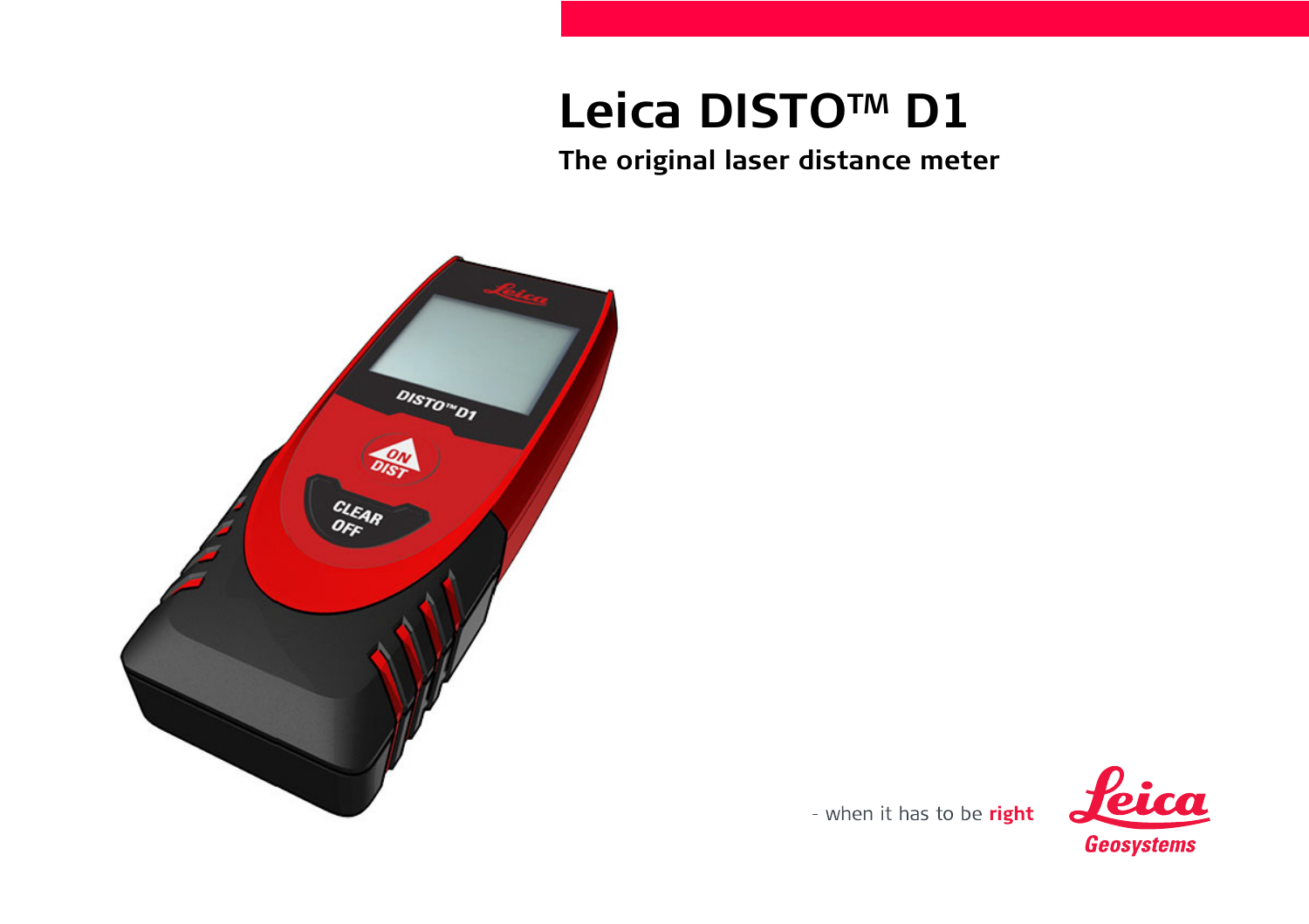# **Leica DISTOTM D1**

**The original laser distance meter**



- when it has to be right

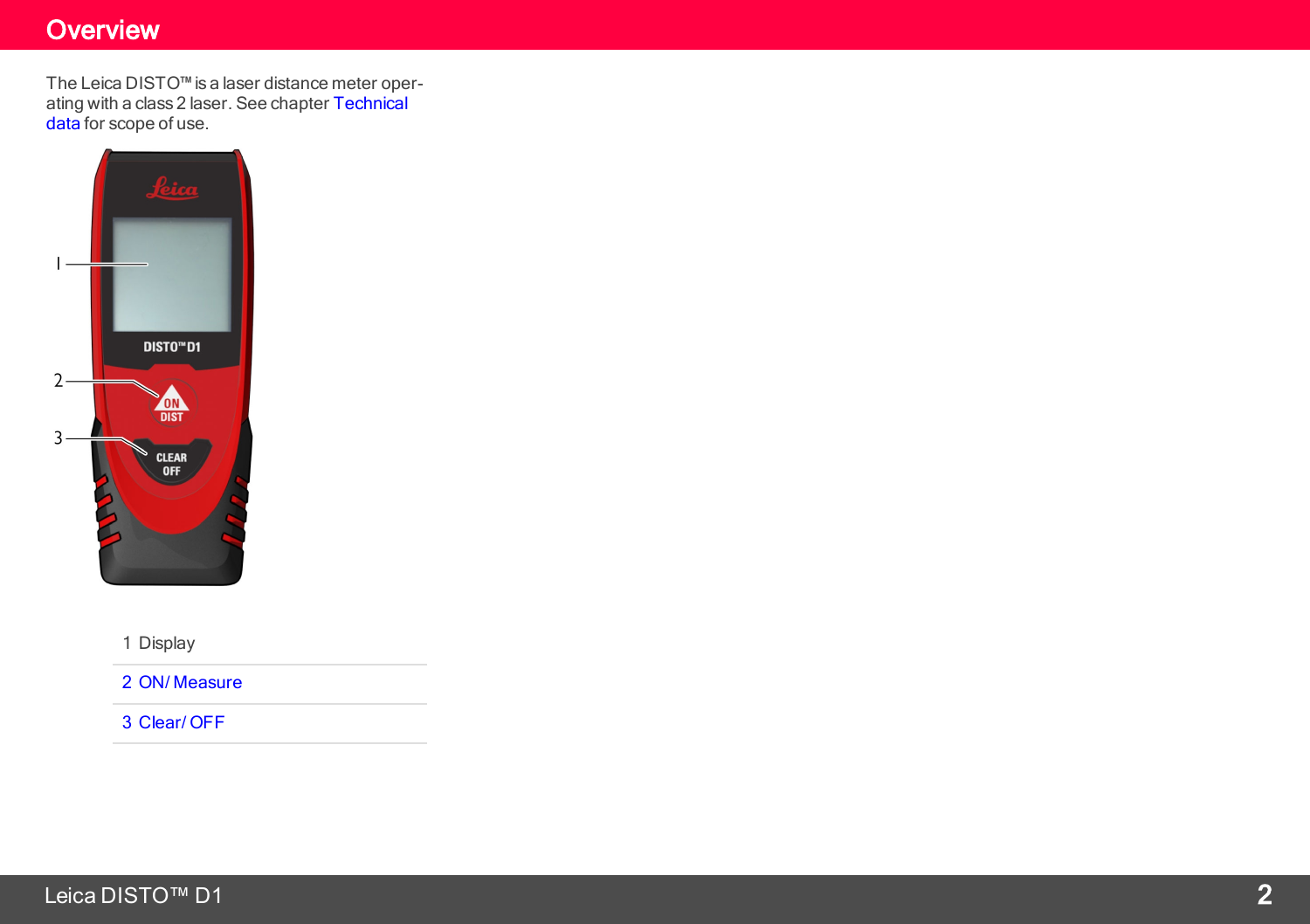### **Overview**

<span id="page-2-0"></span>The Leica DISTO™ is a laser distance meter oper-ating with a class 2 laser. See chapter [Technical](#page-3-0) [data](#page-3-0) for scope of use.



1 Display

2 ON/ [Measure](#page-7-0)

[3 Clear/](#page-8-0) OFF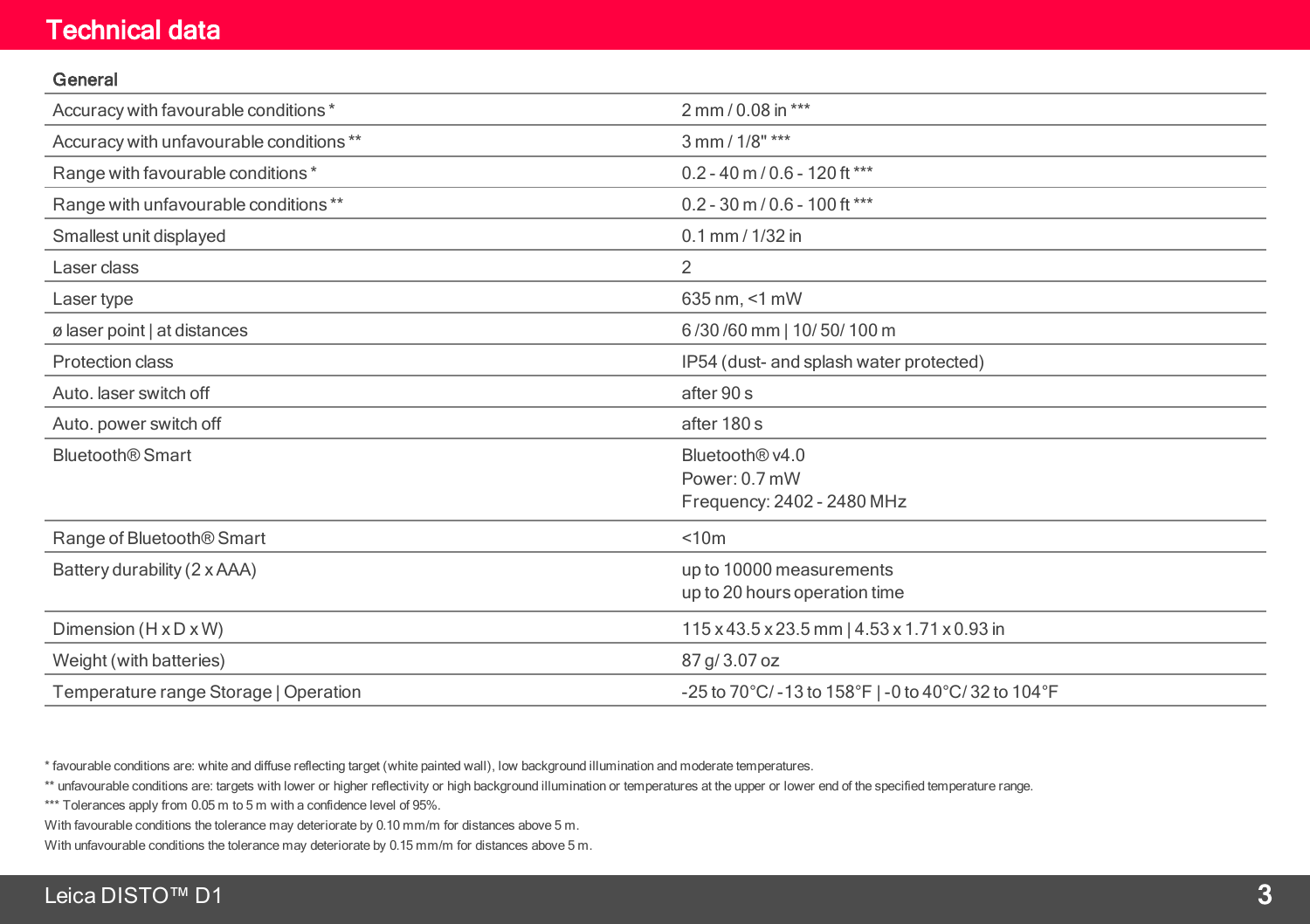#### Technical data

#### <span id="page-3-0"></span>General

| Accuracy with favourable conditions *   | 2 mm / 0.08 in ***                                     |
|-----------------------------------------|--------------------------------------------------------|
| Accuracy with unfavourable conditions** | 3 mm / 1/8" ***                                        |
| Range with favourable conditions*       | $0.2 - 40$ m / 0.6 - 120 ft ***                        |
| Range with unfavourable conditions **   | $0.2 - 30$ m / $0.6 - 100$ ft ***                      |
| Smallest unit displayed                 | $0.1$ mm / $1/32$ in                                   |
| Laser class                             | 2                                                      |
| Laser type                              | 635 nm, <1 mW                                          |
| ø laser point   at distances            | 6/30/60 mm   10/50/100 m                               |
| Protection class                        | IP54 (dust- and splash water protected)                |
| Auto, laser switch off                  | after 90 s                                             |
| Auto. power switch off                  | after 180 s                                            |
| <b>Bluetooth® Smart</b>                 | Bluetooth® v4.0                                        |
|                                         | Power: 0.7 mW                                          |
|                                         | Frequency: 2402 - 2480 MHz                             |
| Range of Bluetooth <sup>®</sup> Smart   | < 10m                                                  |
| Battery durability (2 x AAA)            | up to 10000 measurements                               |
|                                         | up to 20 hours operation time                          |
| Dimension $(H \times D \times W)$       | 115 x 43.5 x 23.5 mm   4.53 x 1.71 x 0.93 in           |
| Weight (with batteries)                 | 87 g/ 3.07 oz                                          |
| Temperature range Storage   Operation   | $-25$ to 70°C/ $-13$ to 158°F   -0 to 40°C/32 to 104°F |

\* favourable conditions are: white and diffuse reflecting target (white painted wall), low background illumination and moderate temperatures.

\*\* unfavourable conditions are: targets with lower or higher reflectivity or high background illumination or temperatures at the upper or lower end of the specified temperature range.

\*\*\* Tolerances apply from 0.05 m to 5 m with a confidence level of 95%.

With favourable conditions the tolerance may deteriorate by 0.10 mm/m for distances above 5 m.

With unfavourable conditions the tolerance may deteriorate by 0.15 mm/m for distances above 5 m.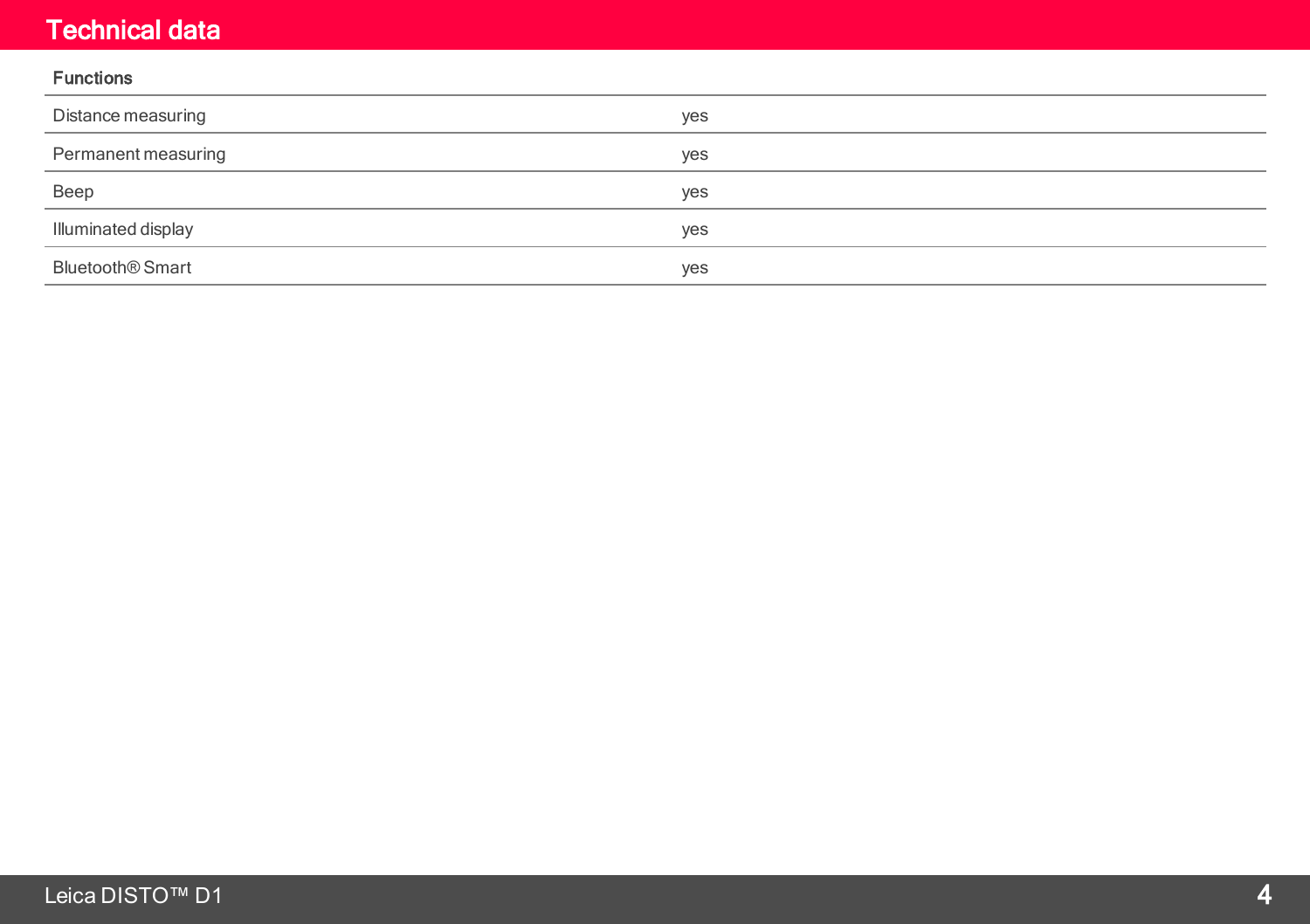#### Technical data

#### Functions

| Distance measuring           | yes |
|------------------------------|-----|
| Permanent measuring          | yes |
| Beep                         | yes |
| Illuminated display          | yes |
| Bluetooth <sup>®</sup> Smart | yes |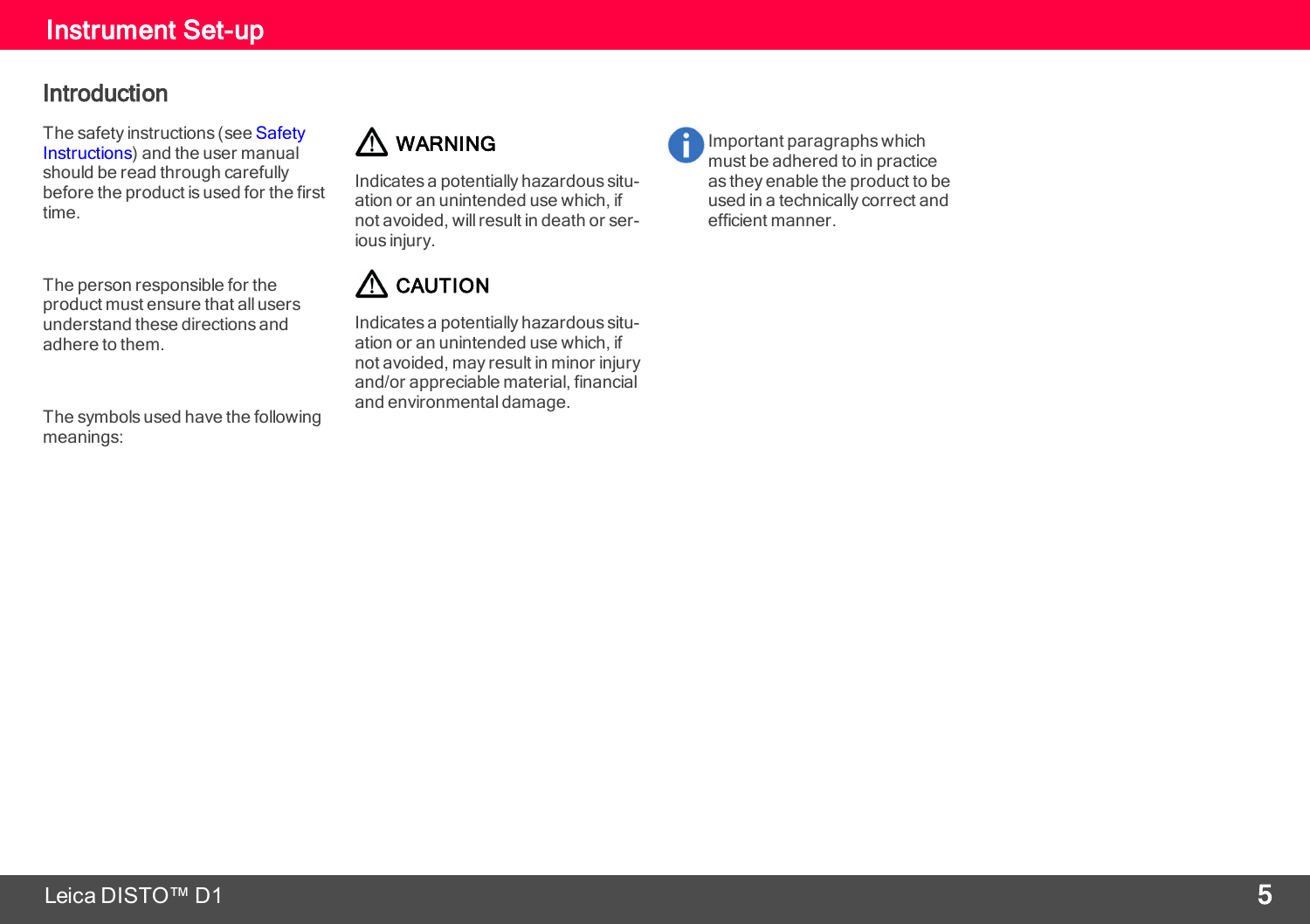#### <span id="page-5-0"></span>Introduction

The safety instructions (see [Safety](#page-17-0) [Instructions](#page-17-0)) and the user manual should be read through carefully before the product is used for the first time.

The person responsible for the product must ensure that all users understand these directions and adhere to them.

The symbols used have the following meanings:

### A WARNING

Indicates a potentially hazardous situation or an unintended use which, if not avoided, willresult in death or serious injury.

### A CAUTION

Indicates a potentially hazardous situation or an unintended use which, if not avoided, may result in minor injury and/or appreciable material, financial and environmental damage.

Important paragraphs which must be adhered to in practice as they enable the product to be used in a technically correct and efficient manner.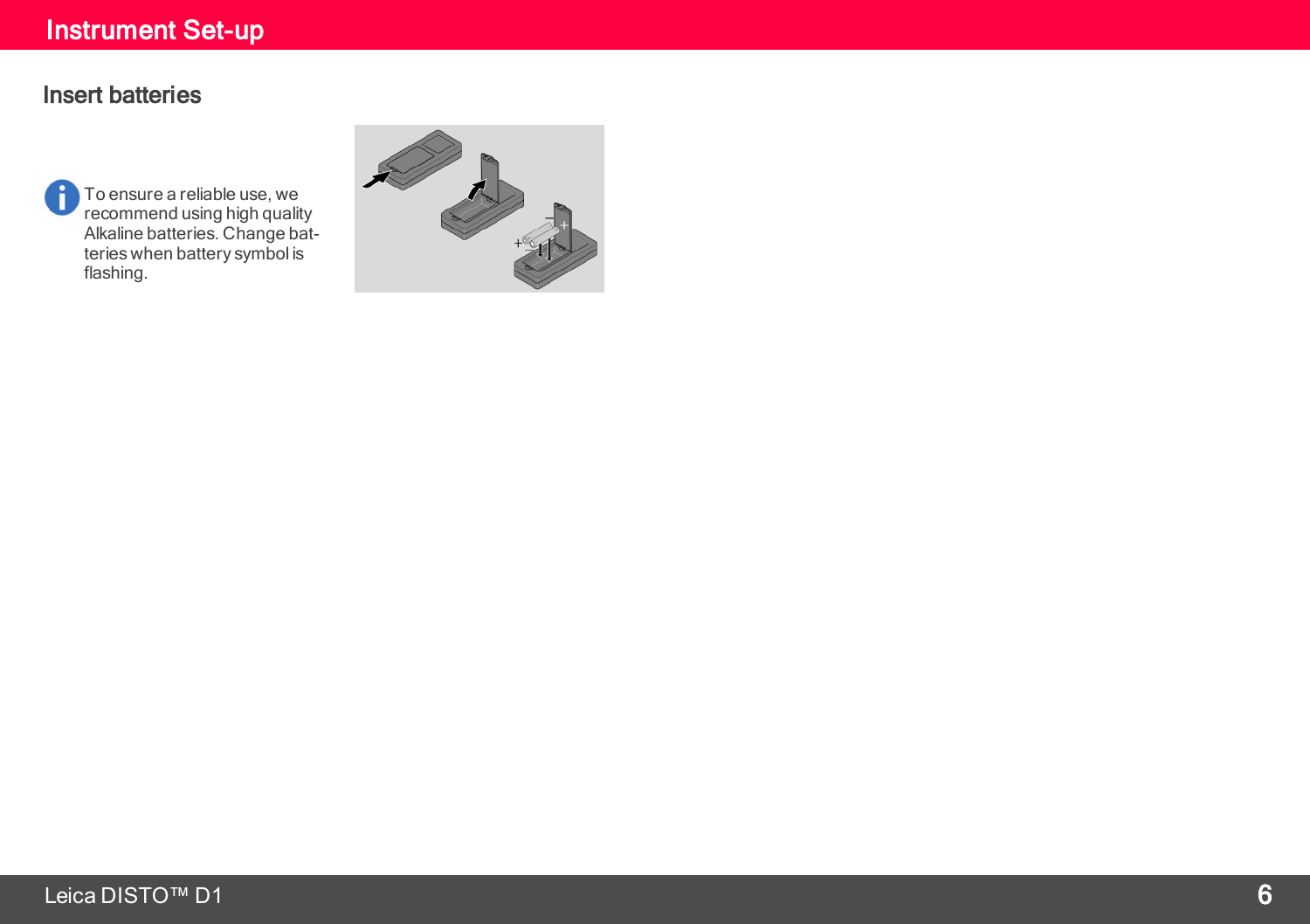#### Insert batteries

To ensure a reliable use, we Ĥ recommend using high quality Alkaline batteries. Change batteries when battery symbol is flashing.

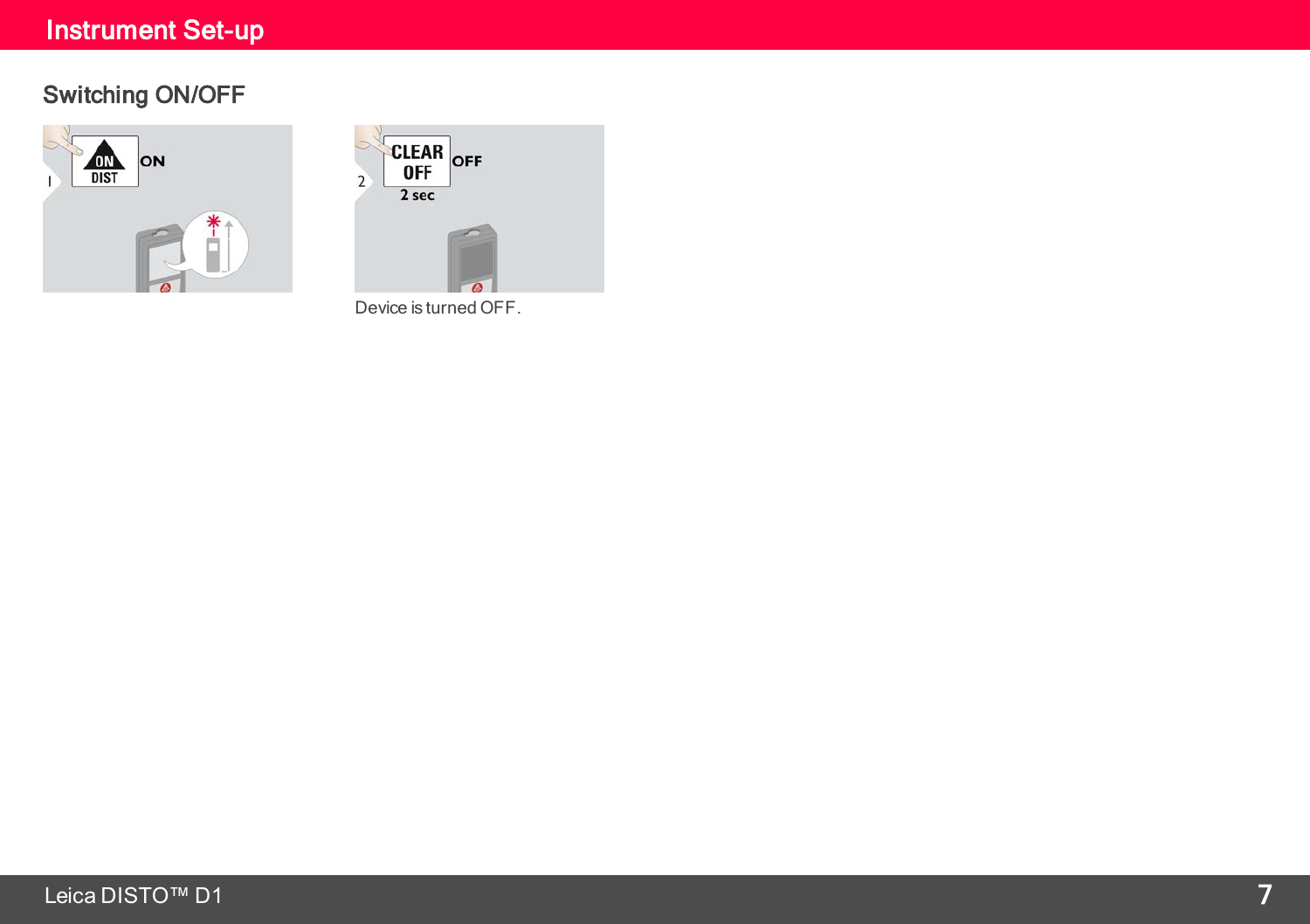### <span id="page-7-0"></span>Switching ON/OFF





Device is turned OFF.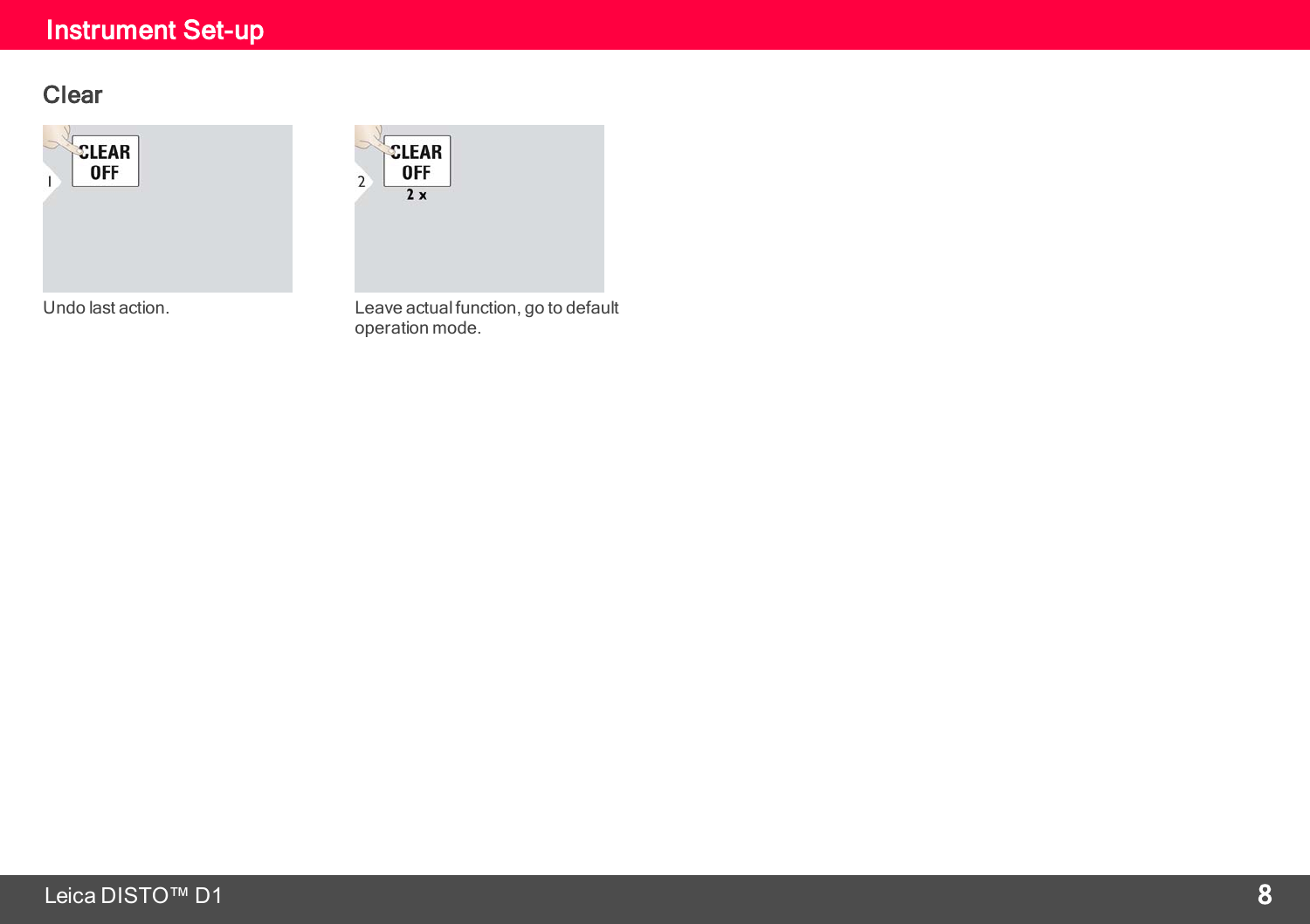### <span id="page-8-0"></span>Instrument Set-up

#### Clear





Undo last action. Leave actual function, go to default operation mode.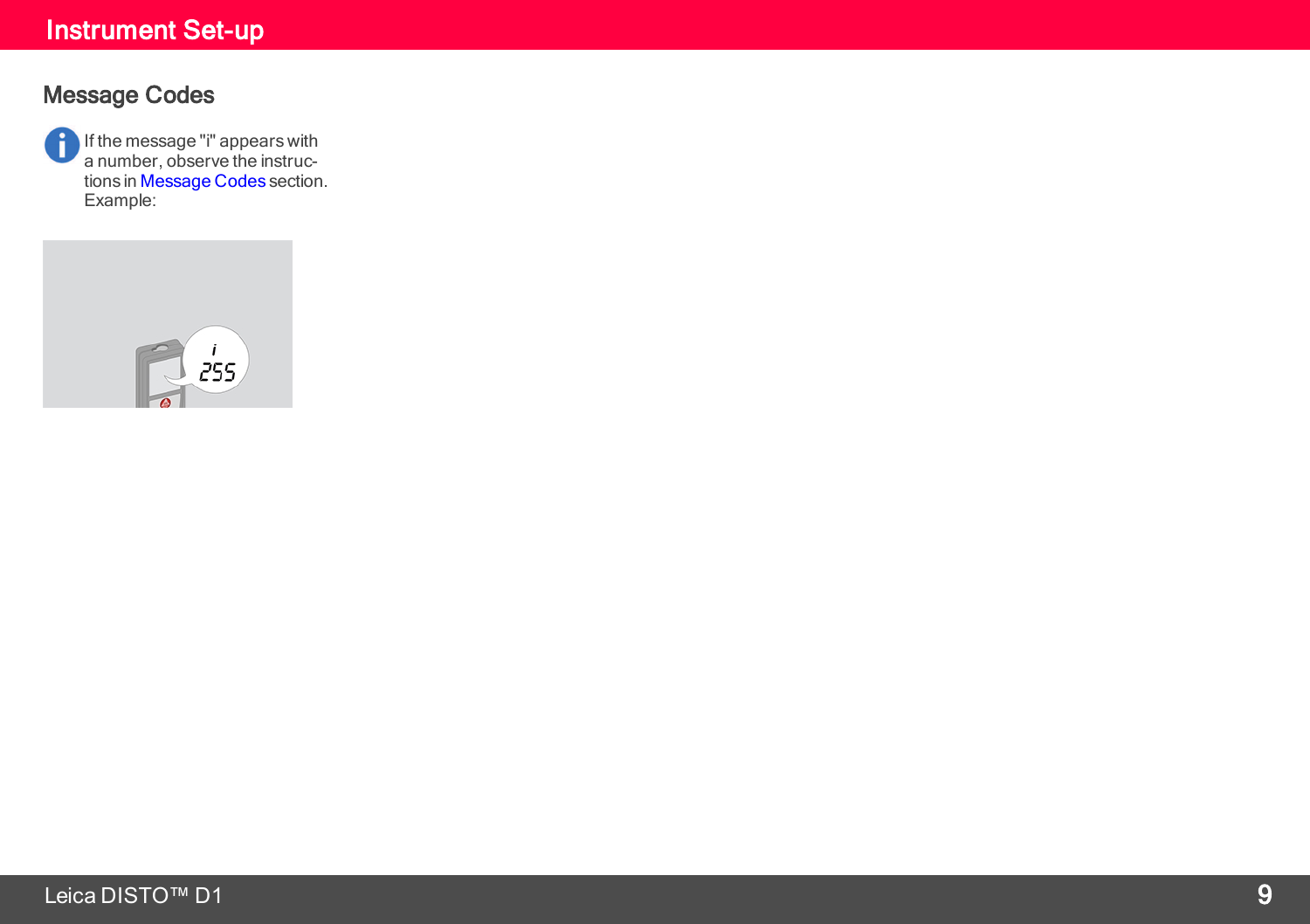### Instrument Set-up

#### Message Codes

If the message "i" appears with a number, observe the instruc-tions in [Message](#page-14-0) Codes section. Example:

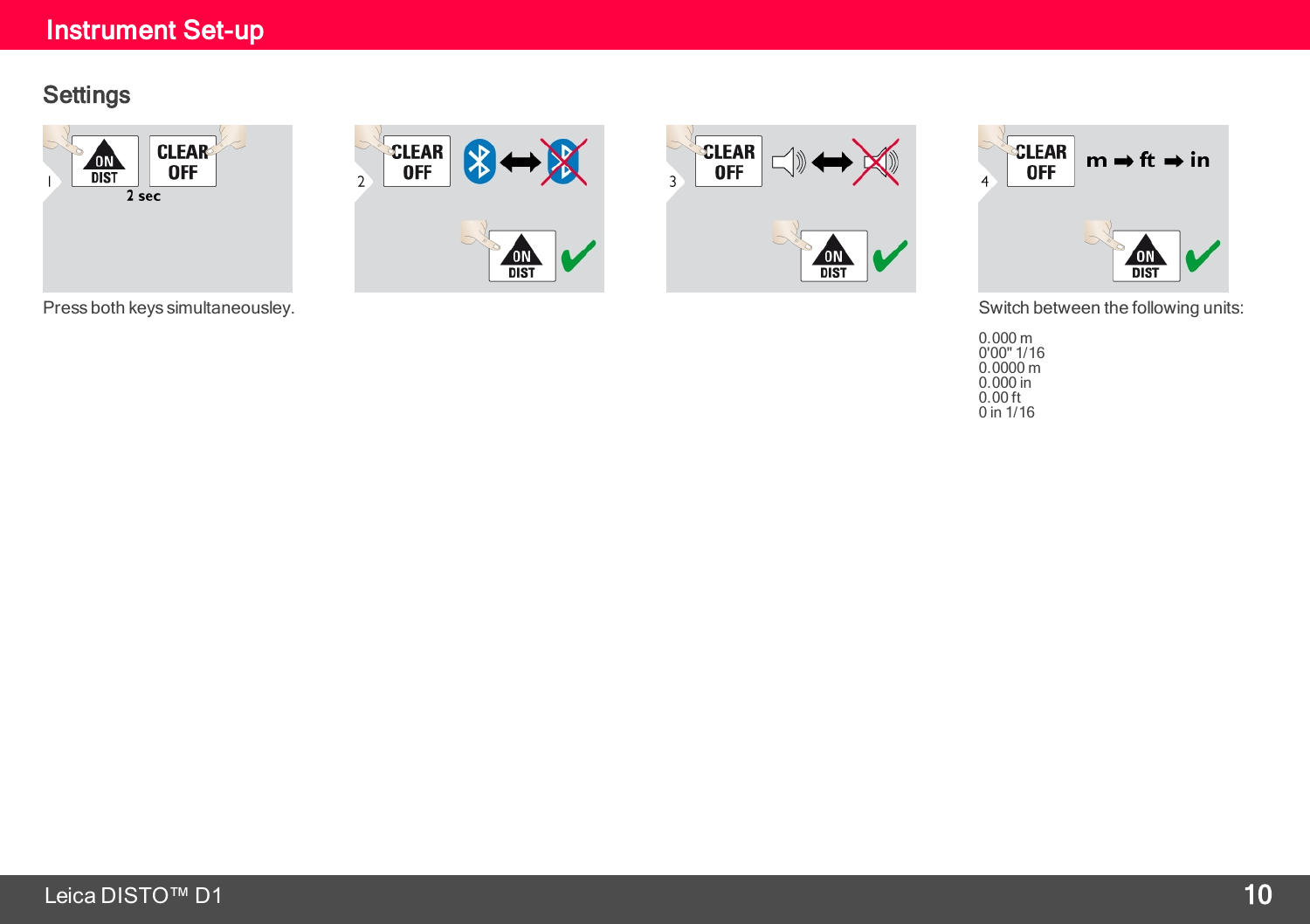#### Instrument Set-up

#### **Settings**



Press both keys simultaneousley. Switch between the following units: Switch between the following units:







0.000 m 0'00" 1/16 0.0000 m 0.000 in  $0.00$  ft  $0 \text{ in } 1/16$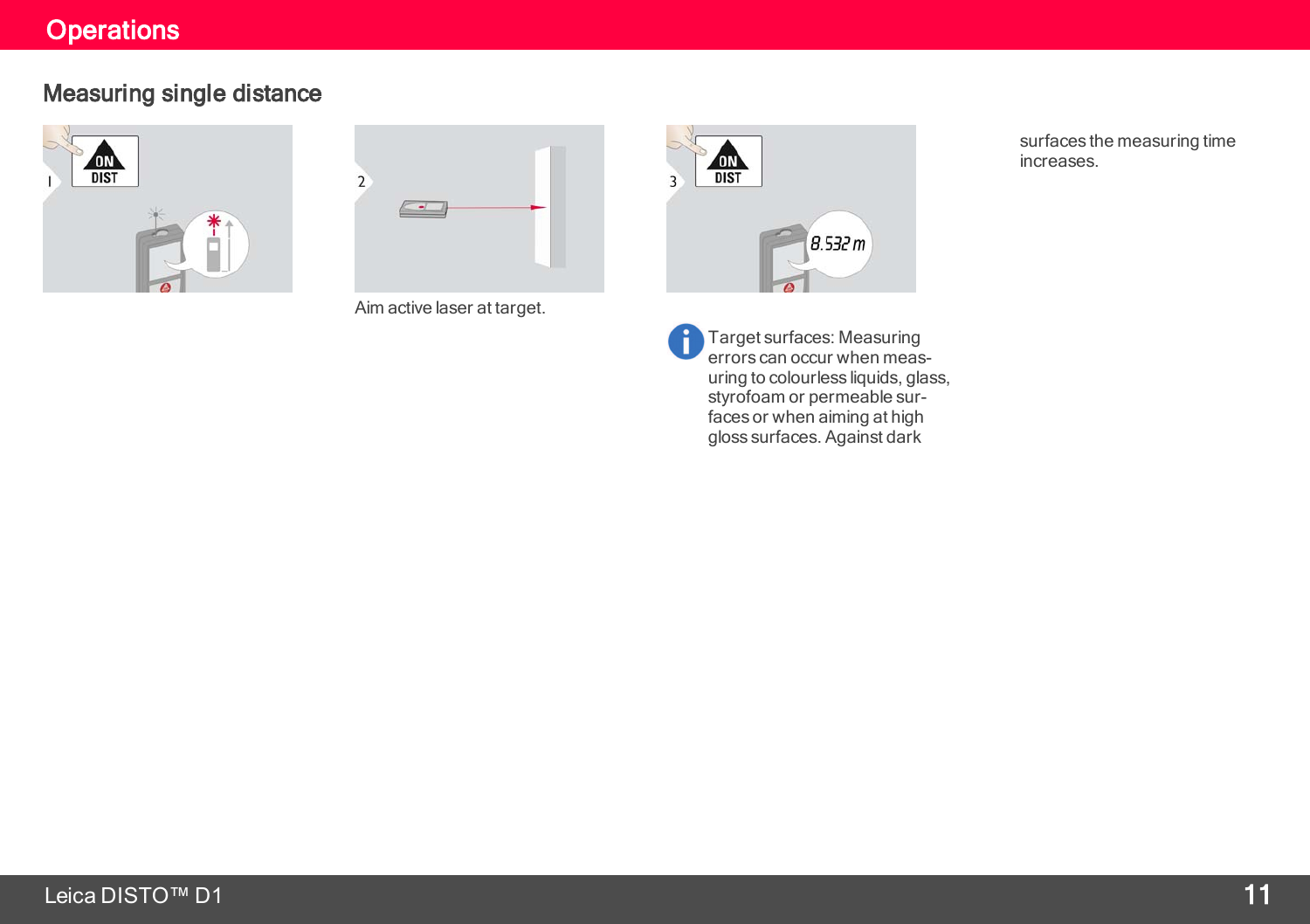#### **Operations**

### <span id="page-11-0"></span>Measuring single distance





Aim active laser at target.



Ĥ

Target surfaces: Measuring errors can occur when measuring to colourless liquids, glass, styrofoam or permeable surfaces or when aiming at high gloss surfaces. Against dark

surfaces the measuring time increases.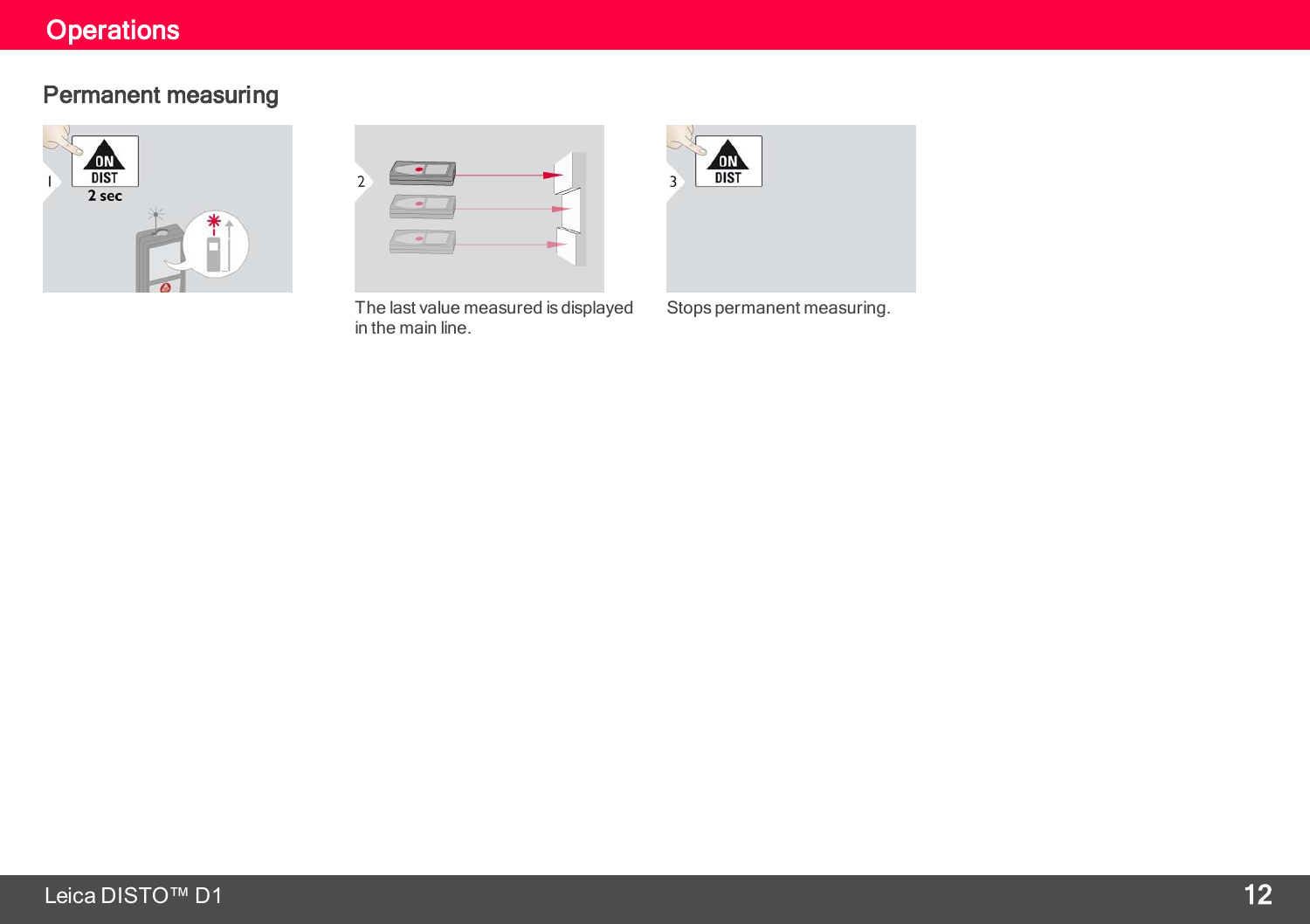### **Operations**

#### Permanent measuring





The last value measured is displayed in the main line.



Stops permanent measuring.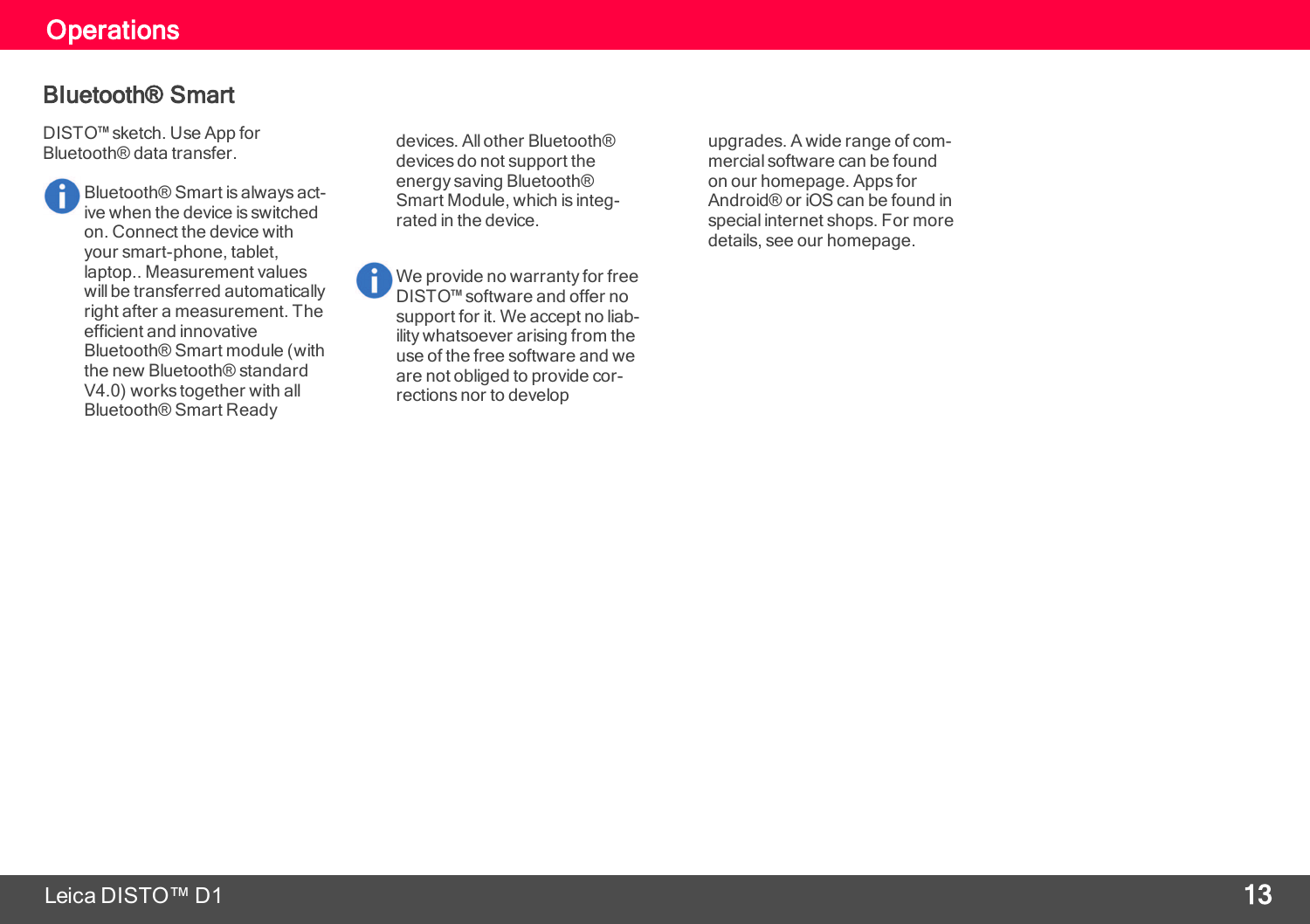#### **Operations**

#### Bluetooth® Smart

DISTO™ sketch. Use App for Bluetooth® data transfer.

> Bluetooth® Smart is always active when the device is switched on. Connect the device with your smart-phone, tablet, laptop.. Measurement values will be transferred automatically right after a measurement. The efficient and innovative Bluetooth® Smart module (with the new Bluetooth® standard V4.0) works together with all Bluetooth® Smart Ready

devices. All other Bluetooth® devices do not support the energy saving Bluetooth® Smart Module, which is integrated in the device.

We provide no warranty for free DISTO™ software and offer no support for it. We accept no liability whatsoever arising from the use of the free software and we are not obliged to provide corrections nor to develop

upgrades. A wide range of commercial software can be found on our homepage. Apps for Android® or iOS can be found in special internet shops. For more details, see our homepage.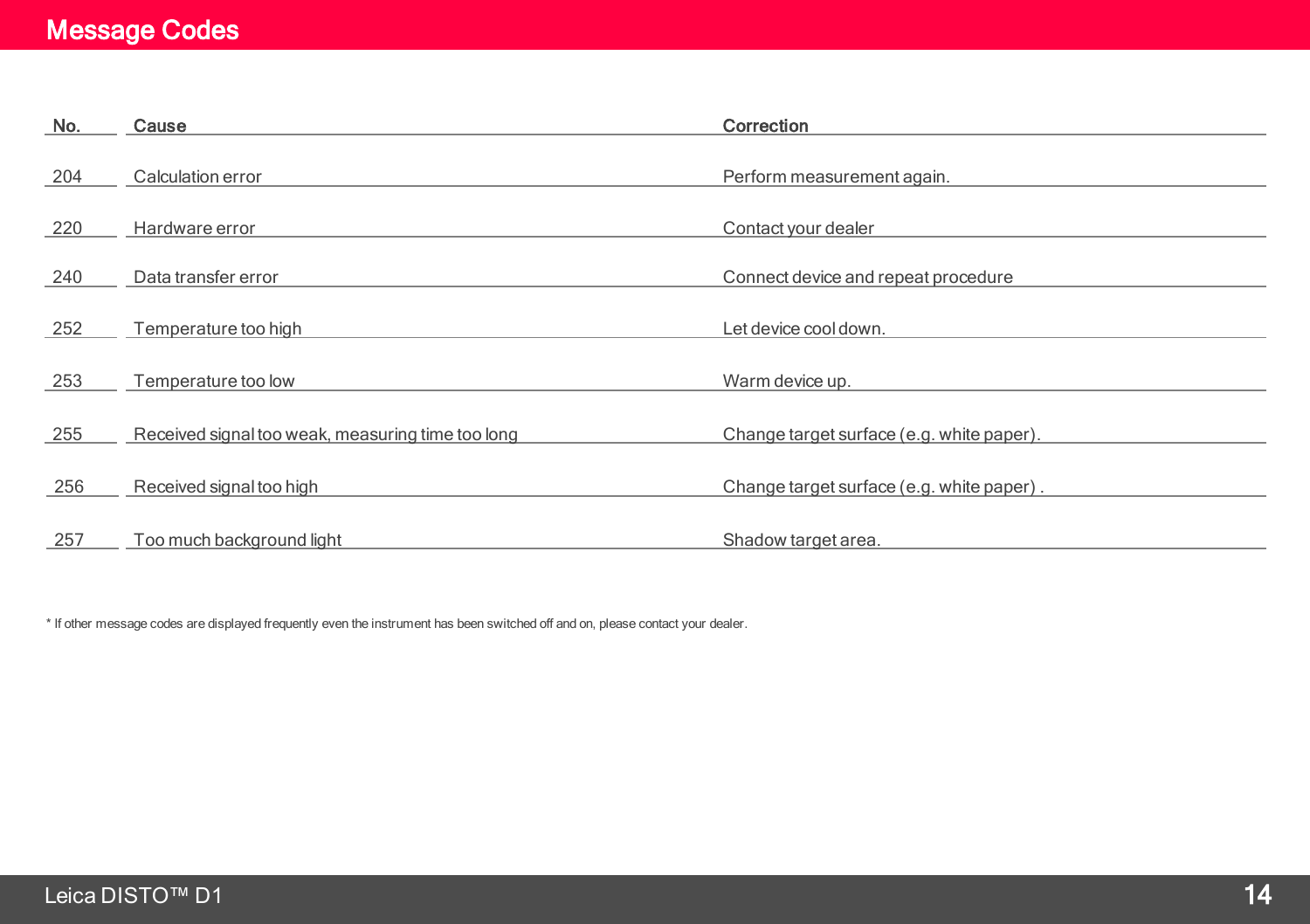### Message Codes

<span id="page-14-0"></span>

| No. | Cause                                             | Correction                                |
|-----|---------------------------------------------------|-------------------------------------------|
| 204 | Calculation error                                 | Perform measurement again.                |
| 220 | Hardware error                                    | Contact your dealer                       |
| 240 | Data transfer error                               | Connect device and repeat procedure       |
| 252 | Temperature too high                              | Let device cool down.                     |
| 253 | Temperature too low                               | Warm device up.                           |
| 255 | Received signal too weak, measuring time too long | Change target surface (e.g. white paper). |
| 256 | Received signal too high                          | Change target surface (e.g. white paper). |
| 257 | Too much background light                         | Shadow target area.                       |

\* If other message codes are displayed frequently even the instrument has been switched off and on, please contact your dealer.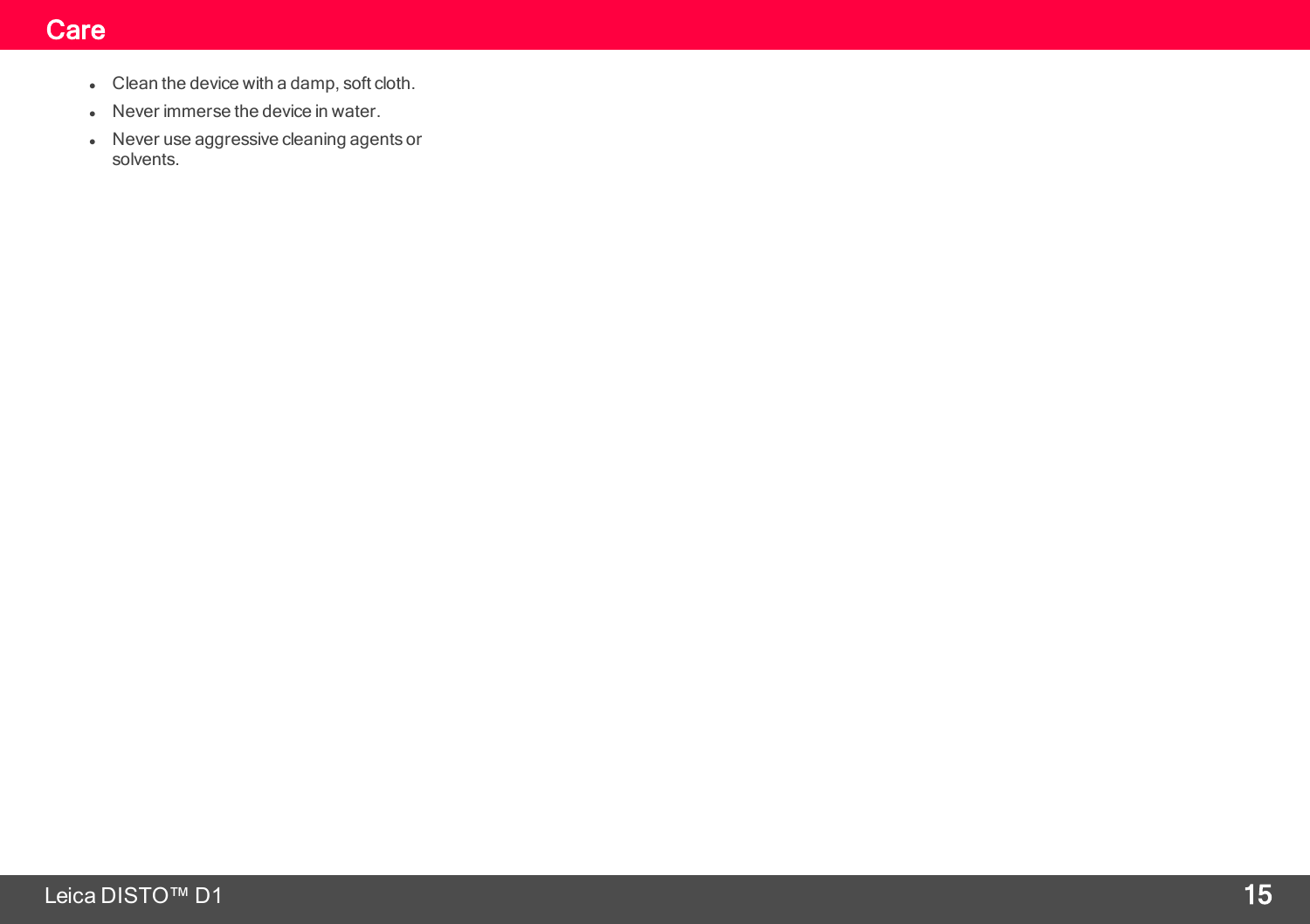#### **Care**

- <span id="page-15-0"></span> $\bullet$  Clean the device with a damp, soft cloth.
- Never immerse the device in water.
- Never use aggressive cleaning agents or solvents.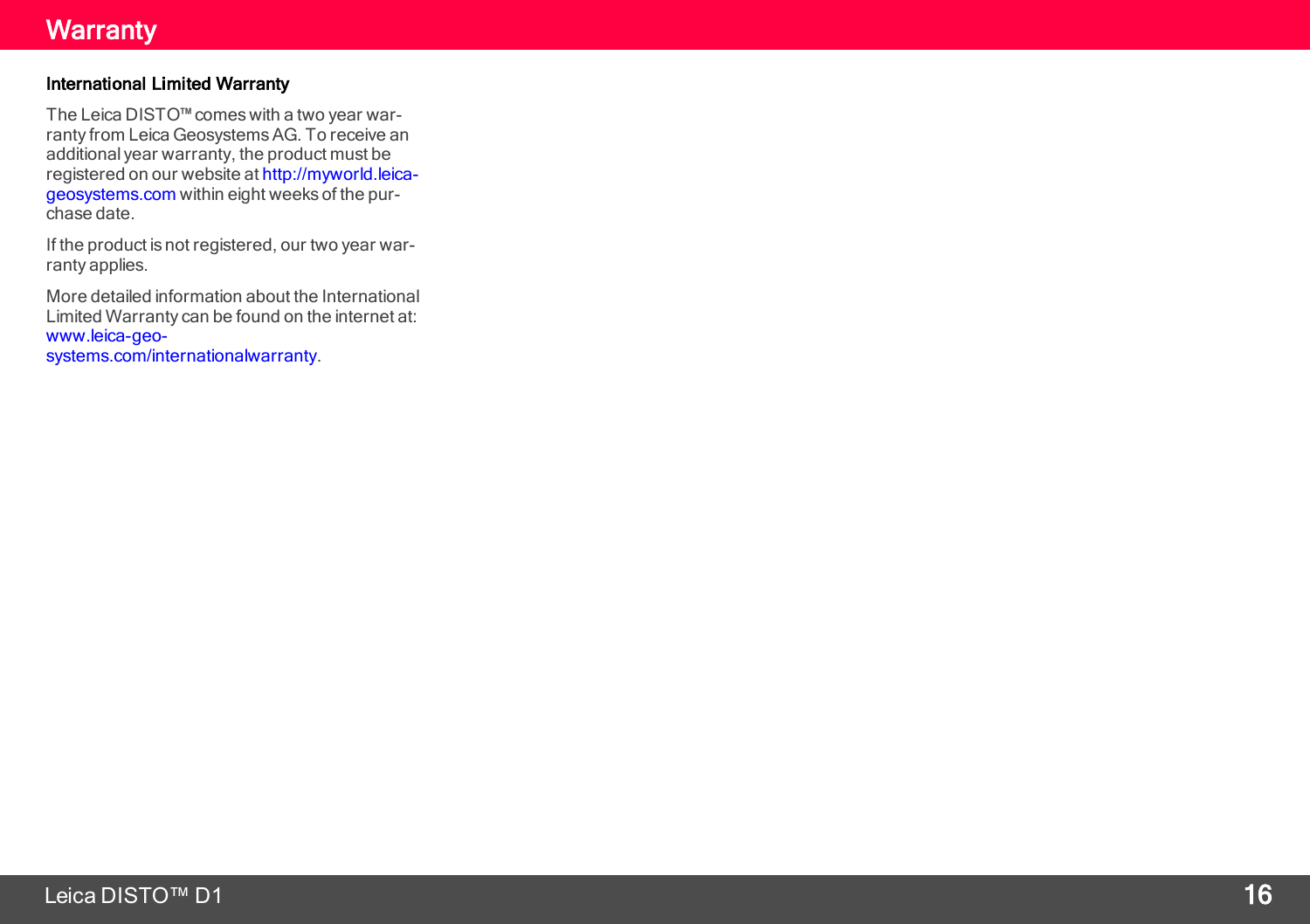#### **Warranty**

#### <span id="page-16-0"></span>International Limited Warranty

The Leica DISTO™comes with a two year warranty from Leica GeosystemsAG. To receive an additional year warranty, the product must be registered on our website at [http://myworld.leica](http://myworld.leica-geosystems.com/)[geosystems.com](http://myworld.leica-geosystems.com/) within eight weeks of the purchase date.

If the product is not registered, our two year warranty applies.

More detailed information about the International Limited Warranty can be found on the internet at: [www.leica-geo](http://www.leica-geosystems.com/internationalwarranty)[systems.com/internationalwarranty](http://www.leica-geosystems.com/internationalwarranty).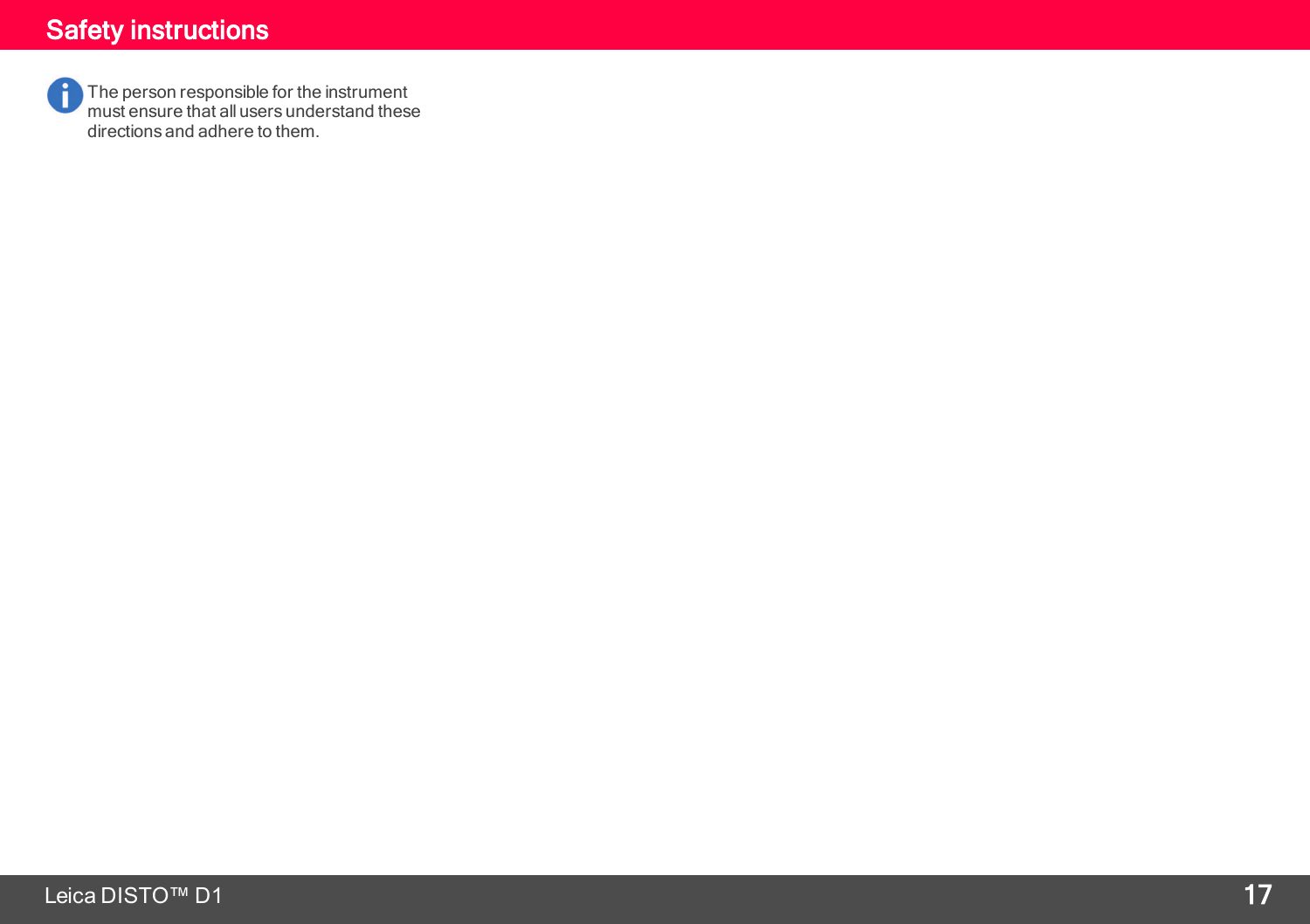<span id="page-17-0"></span>The person responsible for the instrument must ensure that all users understand these directions and adhere to them.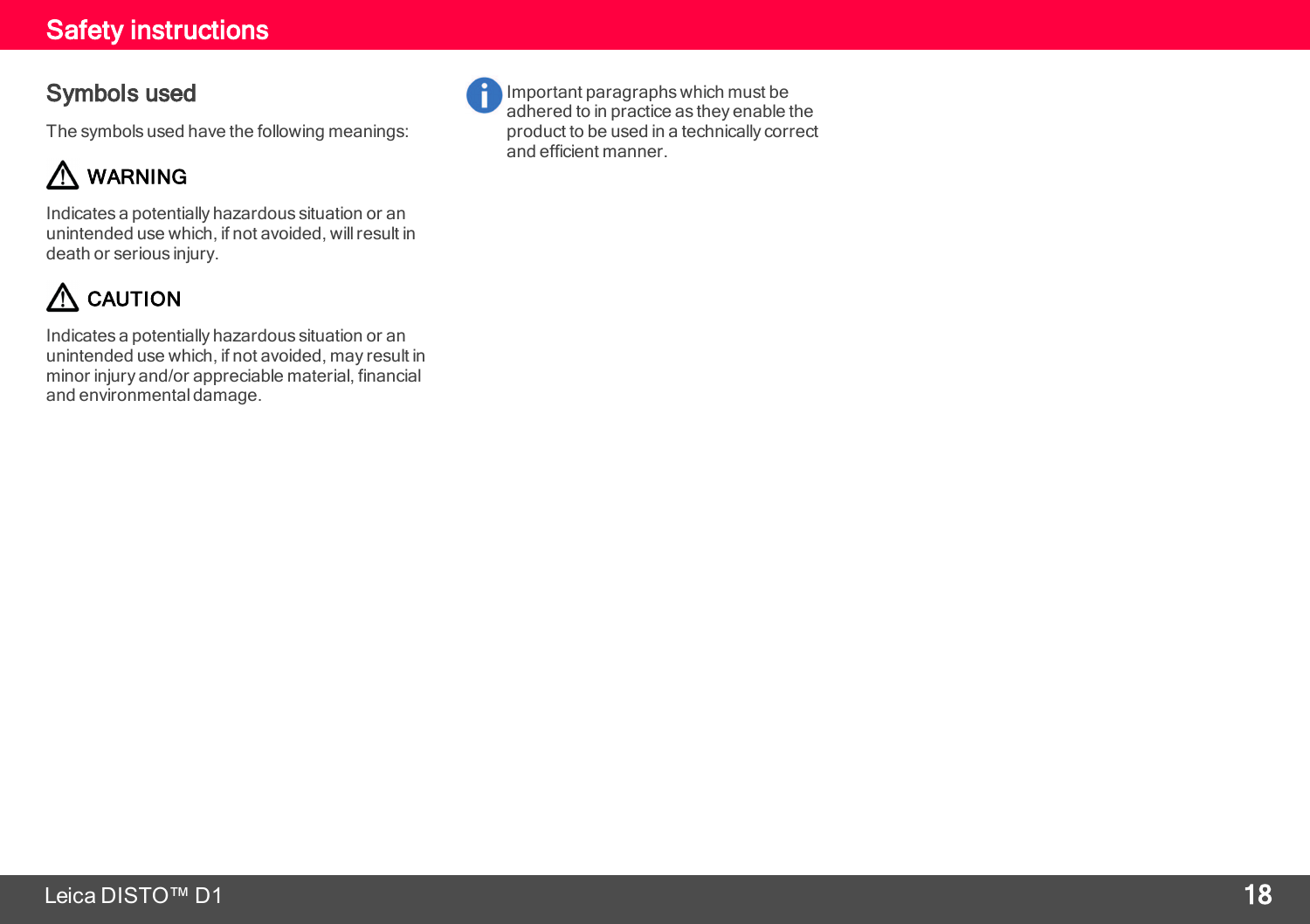#### Symbols used

The symbols used have the following meanings:

## A WARNING

Indicates a potentially hazardous situation or an unintended use which, if not avoided, willresult in death or serious injury.

## $\Lambda$  CAUTION

Indicates a potentially hazardous situation or an unintended use which, if not avoided, may result in minor injury and/or appreciable material, financial and environmental damage.



Important paragraphs which must be adhered to in practice as they enable the product to be used in a technically correct and efficient manner.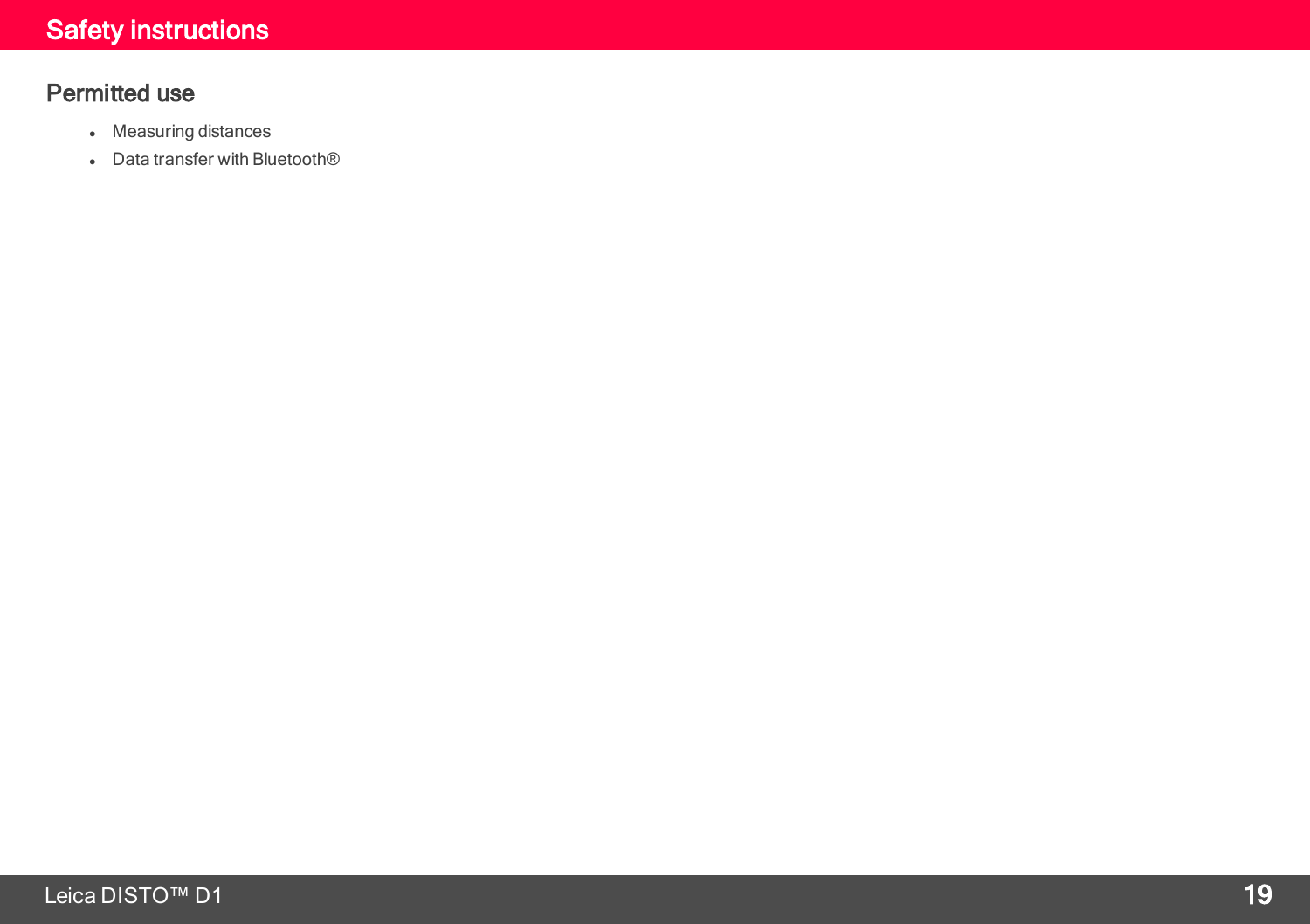### Permitted use

- Measuring distances
- Data transfer with Bluetooth<sup>®</sup>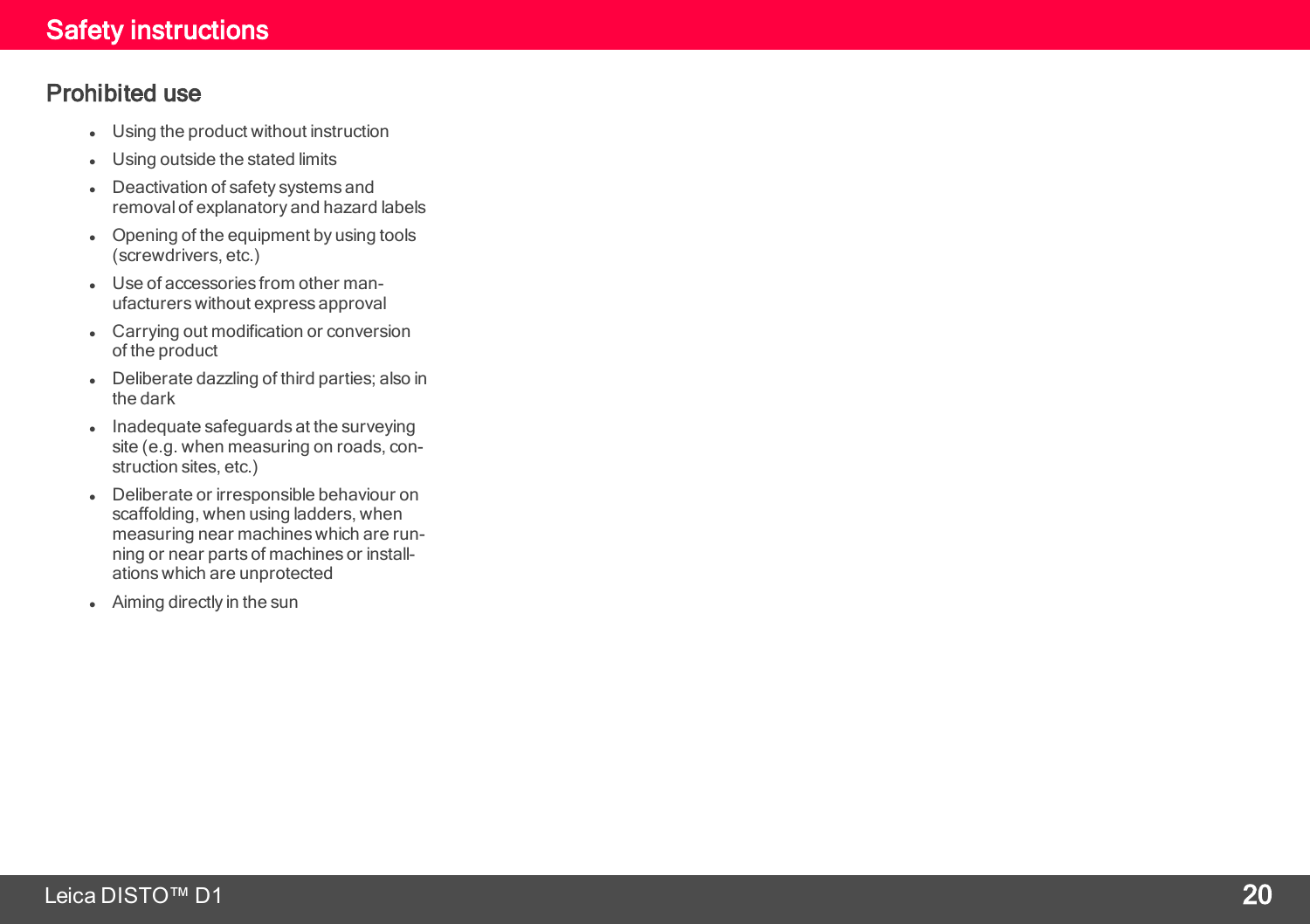#### Prohibited use

- **.** Using the product without instruction
- **.** Using outside the stated limits
- Deactivation of safety systems and removal of explanatory and hazard labels
- Opening of the equipment by using tools (screwdrivers, etc.)
- Use of accessories from other manufacturers without express approval
- Carrying out modification or conversion of the product
- Deliberate dazzling of third parties; also in the dark
- Inadequate safeguards at the surveying site (e.g. when measuring on roads, con struction sites, etc.)
- **.** Deliberate or irresponsible behaviour on scaffolding, when using ladders, when measuring near machines which are run ning or near parts of machines or install ations which are unprotected
- Aiming directly in the sun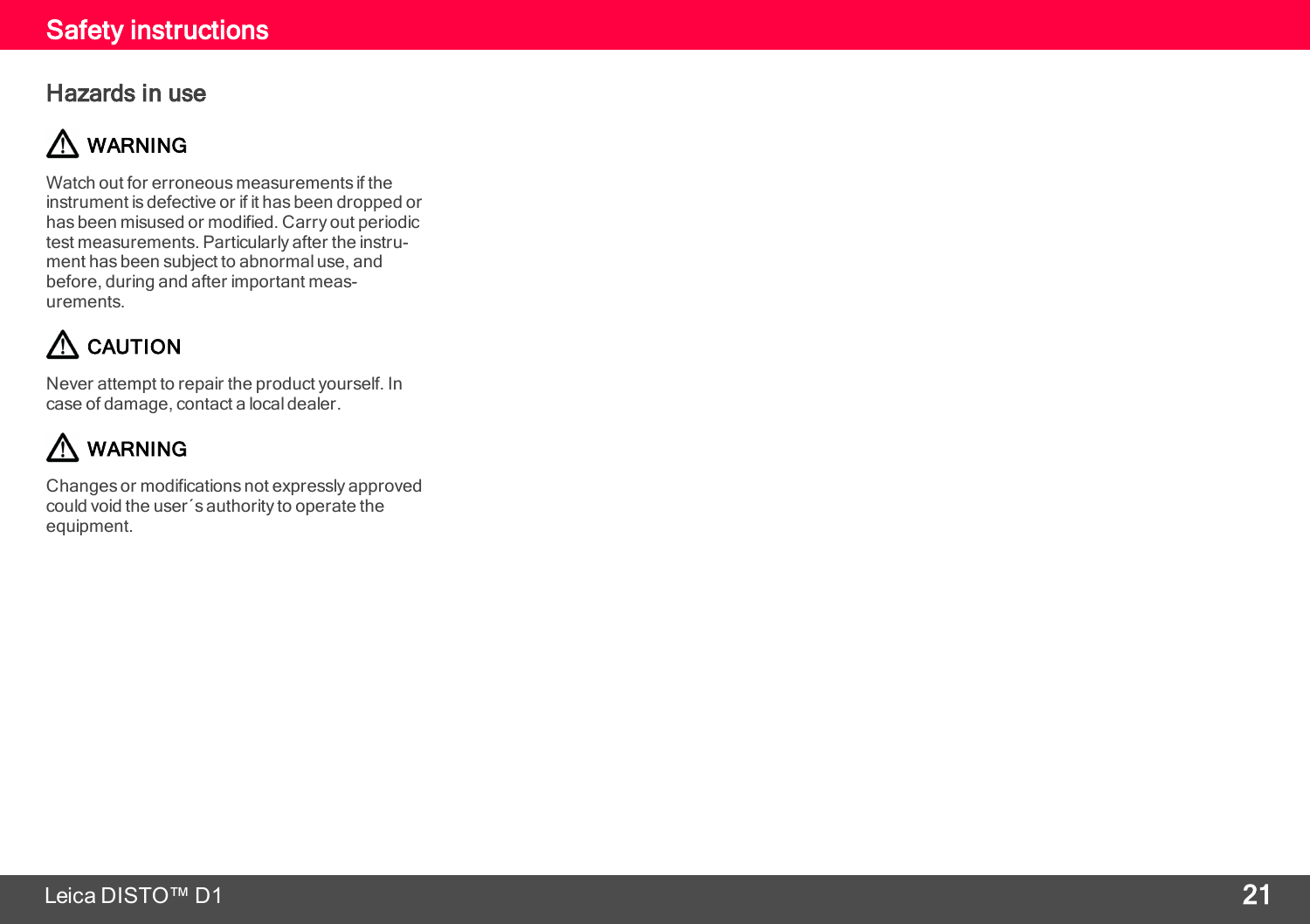#### Hazards in use

## A WARNING

Watch out for erroneous measurements if the instrument is defective or if it has been dropped or has been misused or modified. Carry out periodic test measurements. Particularly after the instru ment has been subject to abnormal use, and before, during and after important meas urements.

## $\Lambda$  CAUTION

Never attempt to repair the product yourself. In case of damage, contact a local dealer.

## A WARNING

Changes or modifications not expressly approved could void the user´s authority to operate the equipment.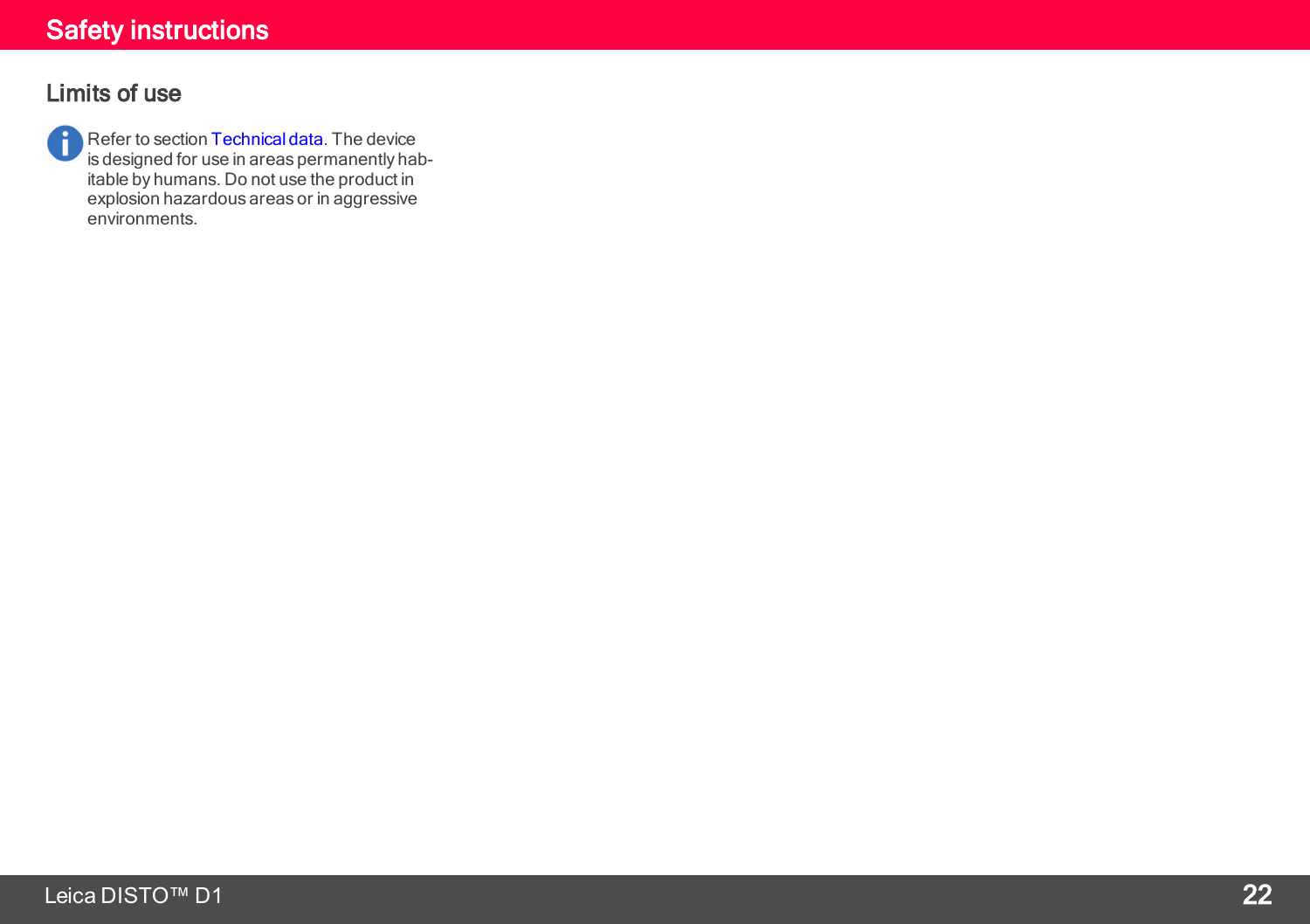### Safety instructions

#### Limits of use

A Refer to section [Technical](#page-3-0) data. The device is designed for use in areas permanently habitable by humans. Do not use the product in explosion hazardous areas or in aggressive environments.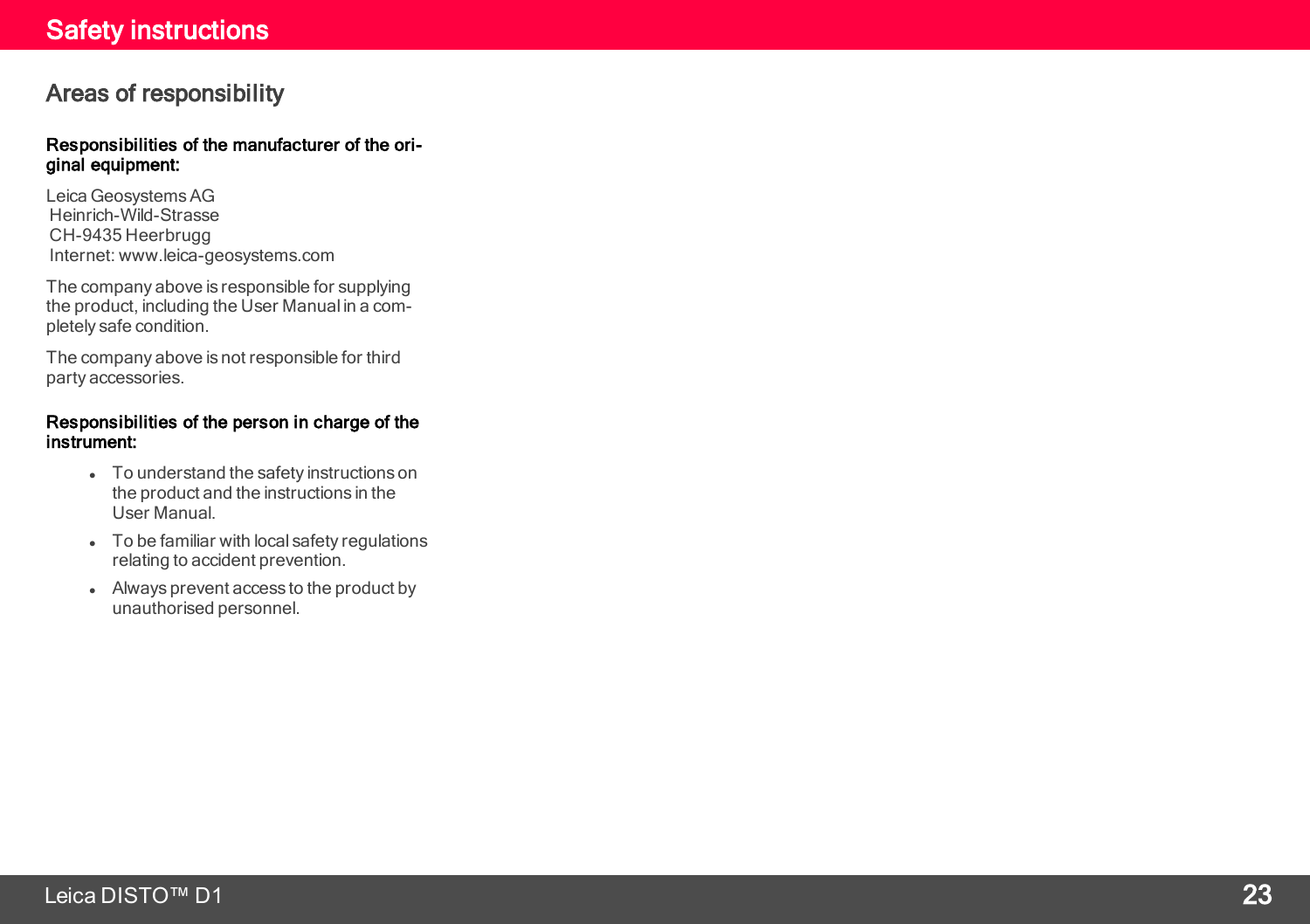#### Areas of responsibility

#### Responsibilities of the manufacturer of the ori ginal equipment:

Leica GeosystemsAG Heinrich-Wild-Strasse CH-9435 Heerbrugg Internet: www.leica-geosystems.com

The company above is responsible for supplying the product, including the User Manual in a com pletely safe condition.

The company above is not responsible for third party accessories.

#### Responsibilities of the person in charge of the instrument:

- To understand the safety instructions on the product and the instructions in the User Manual.
- To be familiar with local safety regulations relating to accident prevention.
- Always prevent access to the product by unauthorised personnel.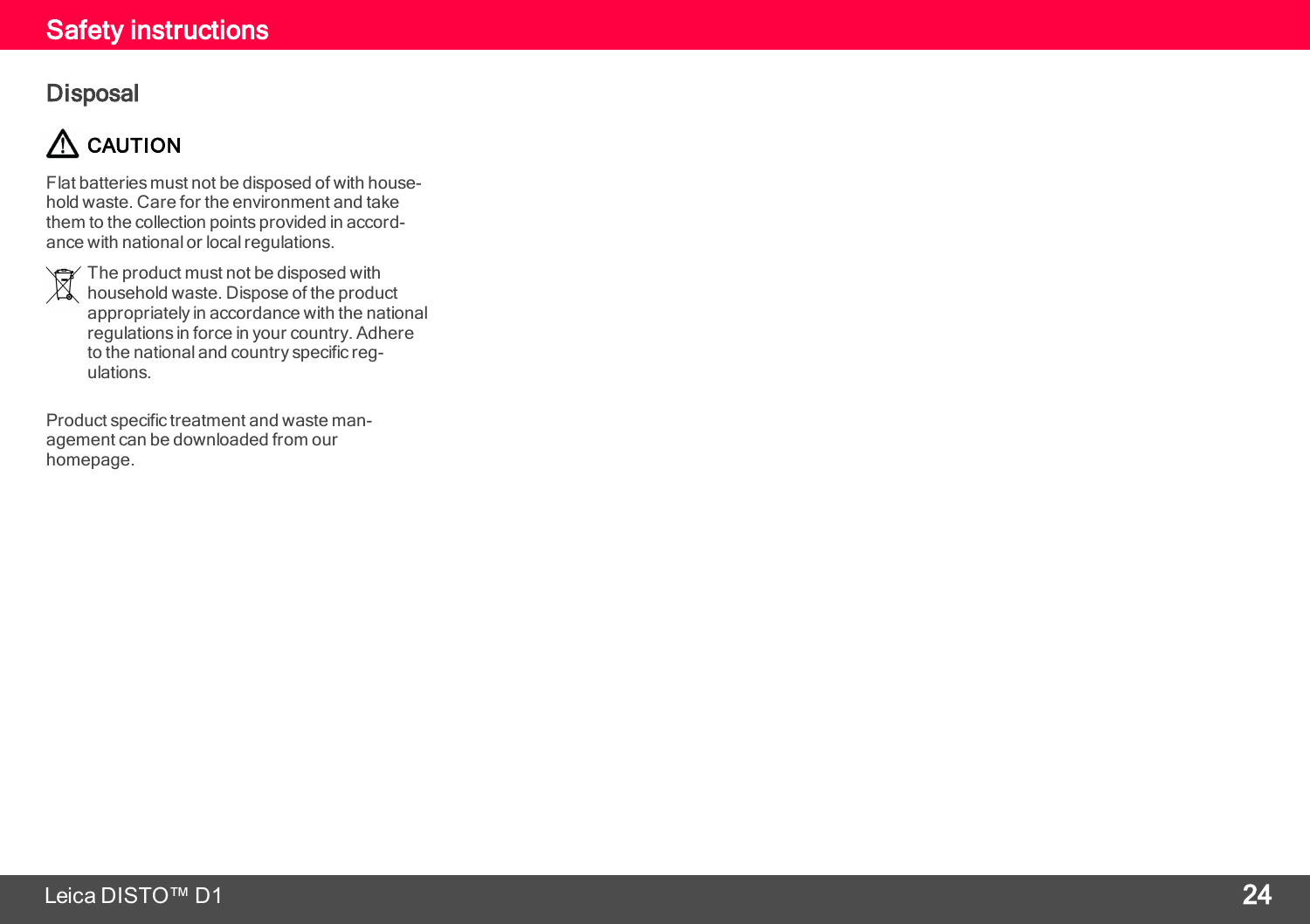#### Safety instructions

#### **Disposal**

## $\Lambda$  CAUTION

Flat batteries must not be disposed of with household waste. Care for the environment and take them to the collection points provided in accordance with national or local regulations.

The product must not be disposed with household waste. Dispose of the product appropriately in accordance with the national regulations in force in your country. Adhere to the national and country specific regulations.

Product specific treatment and waste management can be downloaded from our homepage.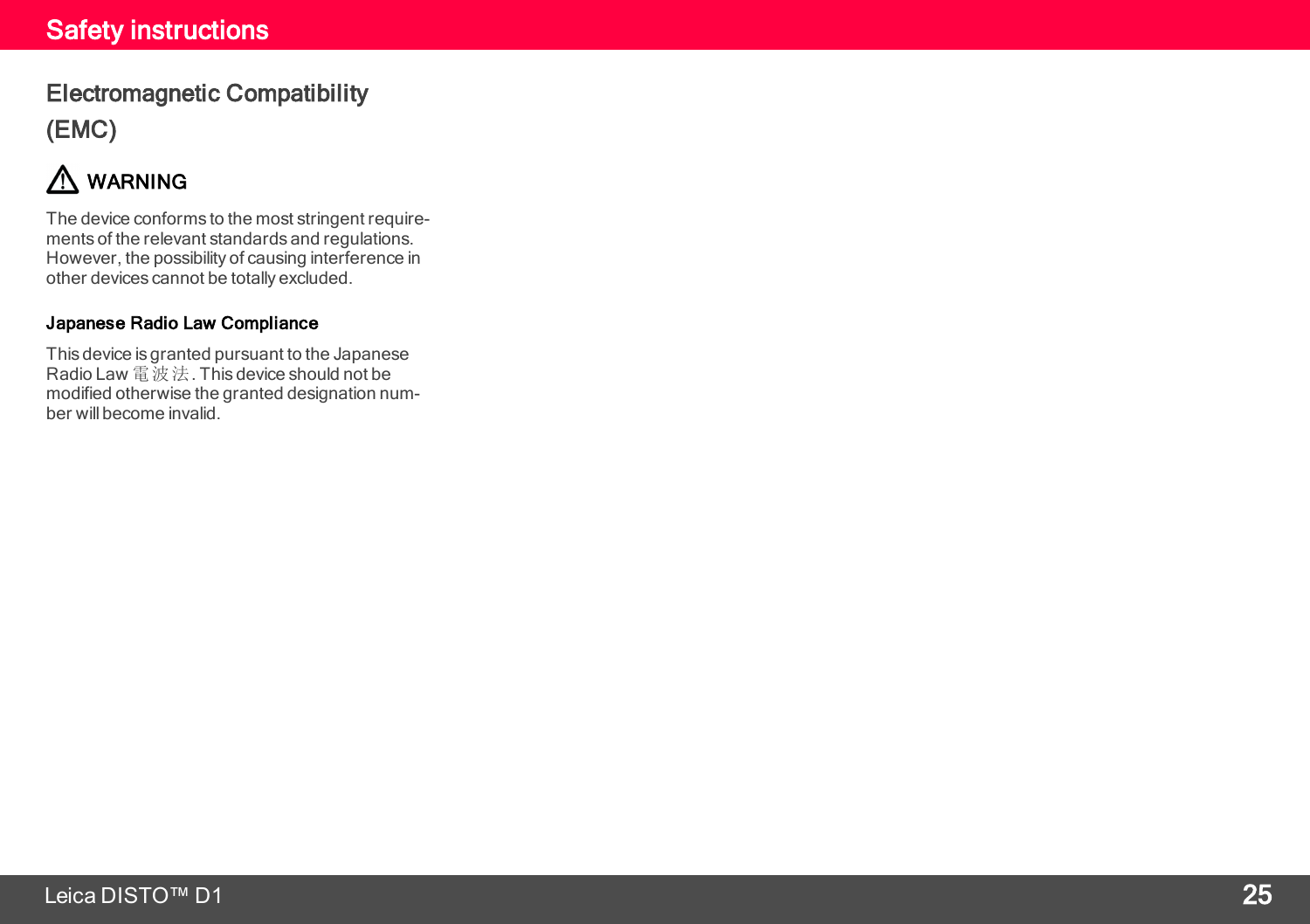### Electromagnetic Compatibility (EMC)

## $\Lambda$  WARNING

The device conforms to the most stringent requirements of the relevant standards and regulations. However, the possibility of causing interference in other devices cannot be totally excluded.

#### Japanese Radio Law Compliance

This device is granted pursuant to the Japanese Radio Law 電波法. This device should not be modified otherwise the granted designation number will become invalid.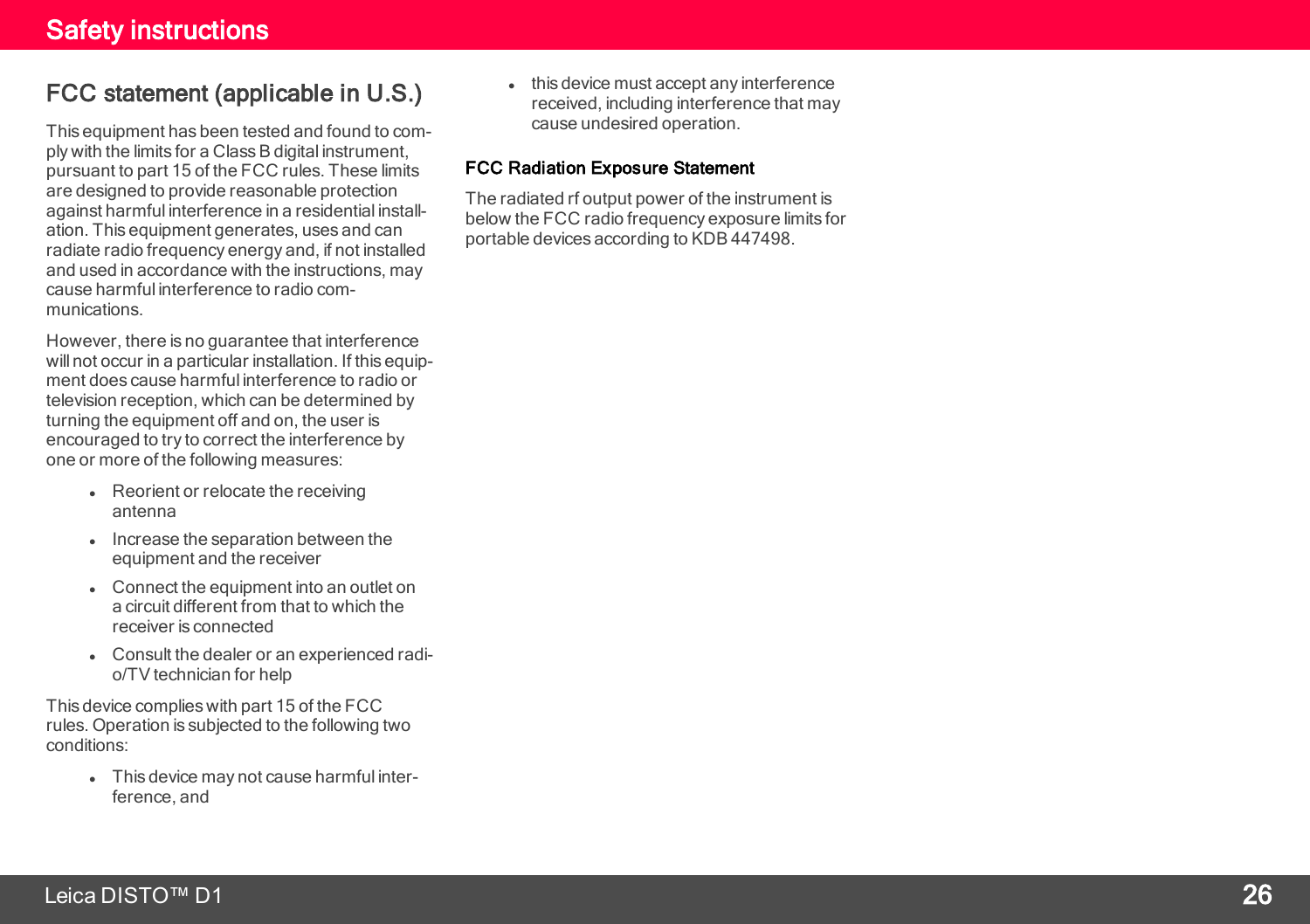#### FCC statement (applicable in U.S.)

This equipment has been tested and found to com ply with the limits for a Class B digital instrument, pursuant to part 15 of the FCC rules. These limits are designed to provide reasonable protection against harmful interference in a residential install ation. This equipment generates, uses and can radiate radio frequency energy and, if not installed and used in accordance with the instructions, may cause harmful interference to radio com munications.

However, there is no guarantee that interference will not occur in a particular installation. If this equip ment does cause harmful interference to radio or television reception, which can be determined by turning the equipment off and on, the user is encouraged to try to correct the interference by one or more of the following measures:

- Reorient or relocate the receiving antenna
- Increase the separation between the equipment and the receiver
- Connect the equipment into an outlet on a circuit different from that to which the receiver is connected
- Consult the dealer or an experienced radio/TV technician for help

This device complies with part 15 of the FCC rules. Operation is subjected to the following two conditions:

> • This device may not cause harmful interference, and

 $\bullet$  this device must accept any interference received, including interference that may cause undesired operation.

#### FCC Radiation Exposure Statement

The radiated rf output power of the instrument is below the FCC radio frequency exposure limits for portable devices according to KDB 447498.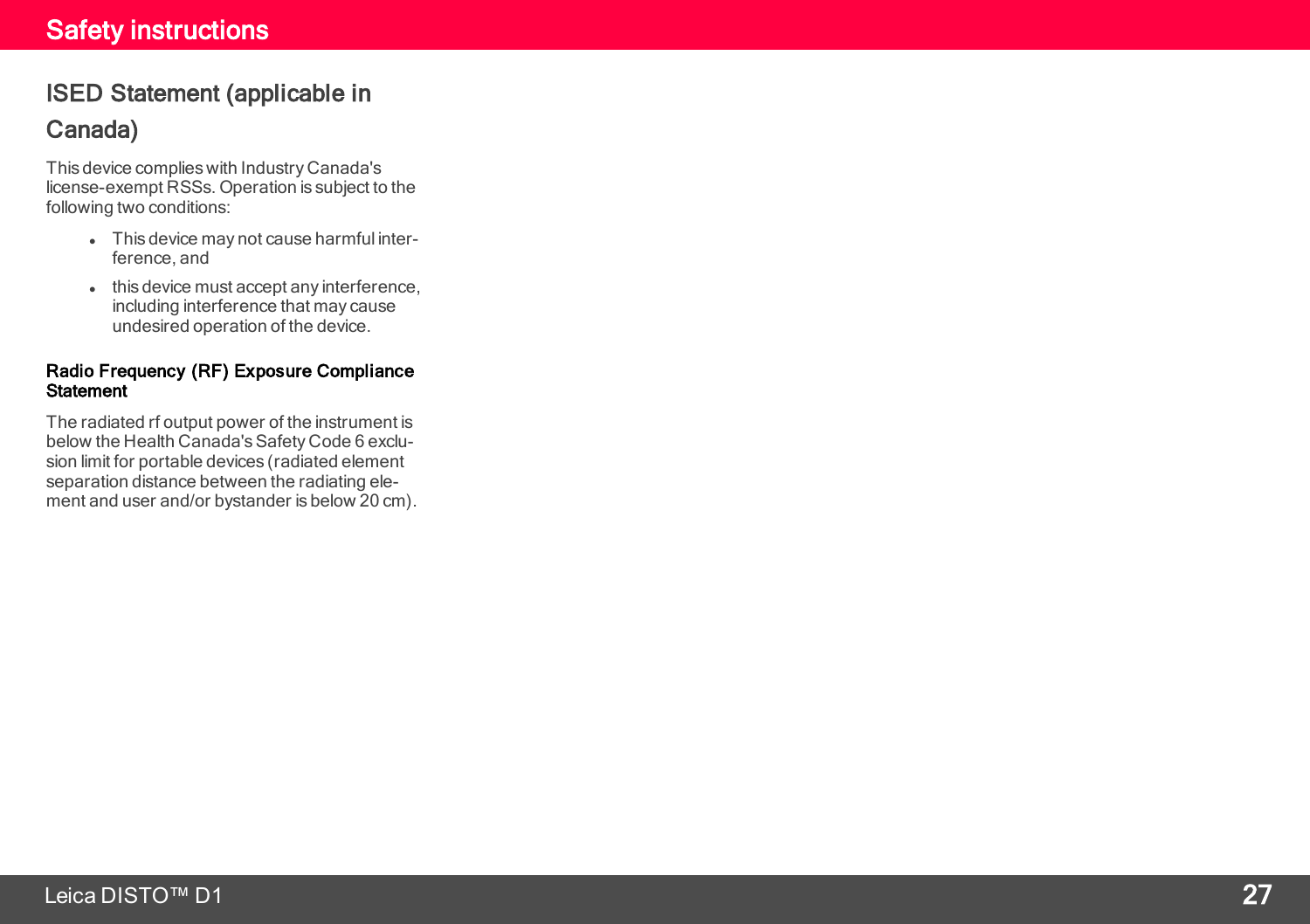### ISED Statement (applicable in Canada)

This device complies with Industry Canada's license-exempt RSSs. Operation is subject to the following two conditions:

- This device may not cause harmful interference, and
- $\bullet$  this device must accept any interference, including interference that may cause undesired operation of the device.

#### Radio Frequency (RF) Exposure Compliance **Statement**

The radiated rf output power of the instrument is below the Health Canada's Safety Code 6 exclusion limit for portable devices (radiated element separation distance between the radiating ele ment and user and/or bystander is below 20 cm).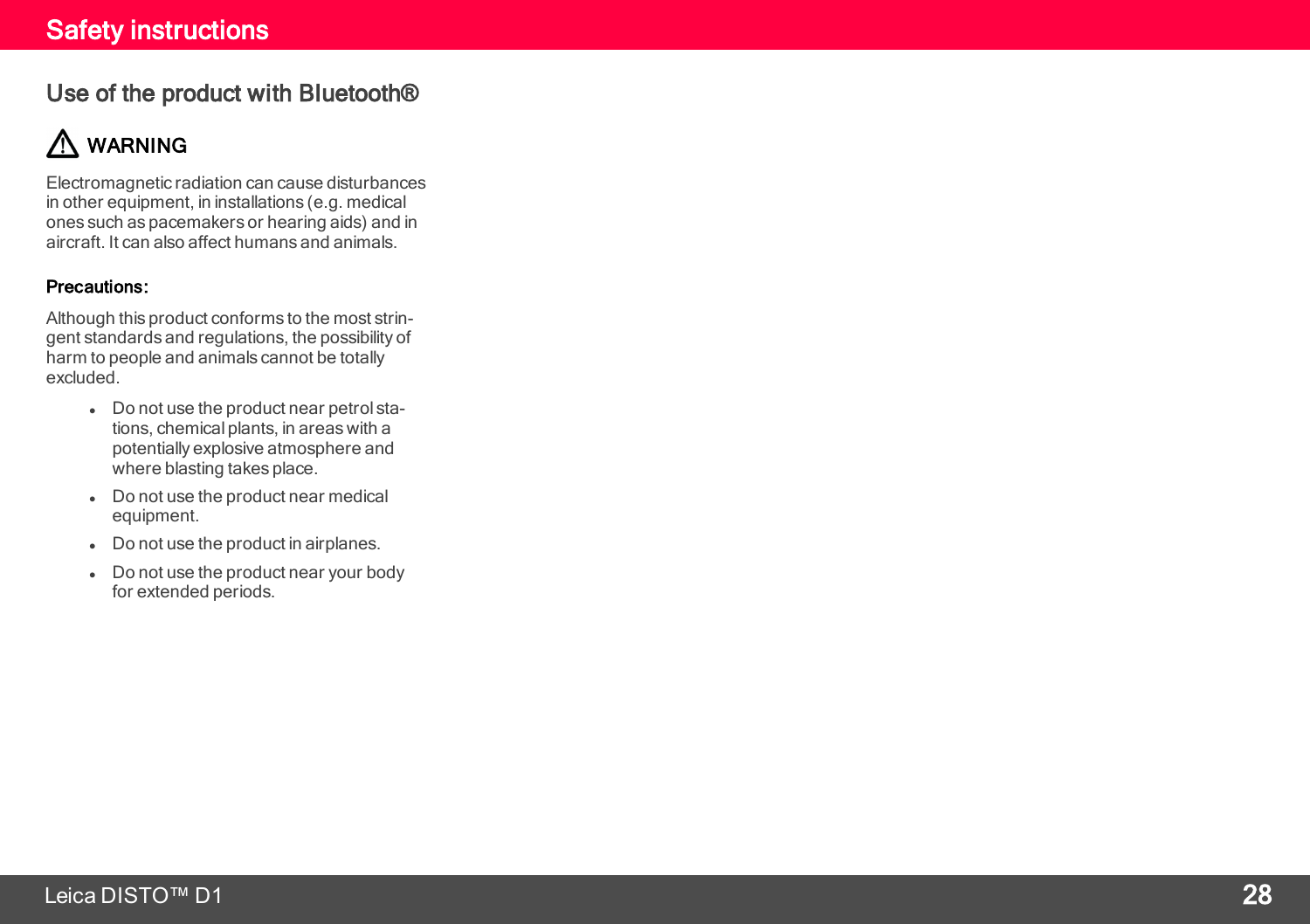#### Use of the product with Bluetooth®

## A WARNING

Electromagnetic radiation can cause disturbances in other equipment, in installations (e.g. medical ones such as pacemakers or hearing aids) and in aircraft. It can also affect humans and animals.

#### Precautions:

Although this product conforms to the most strin gent standards and regulations, the possibility of harm to people and animals cannot be totally excluded.

- Do not use the product near petrol stations, chemical plants, in areas with a potentially explosive atmosphere and where blasting takes place.
- Do not use the product near medical equipment.
- Do not use the product in airplanes.
- Do not use the product near your body for extended periods.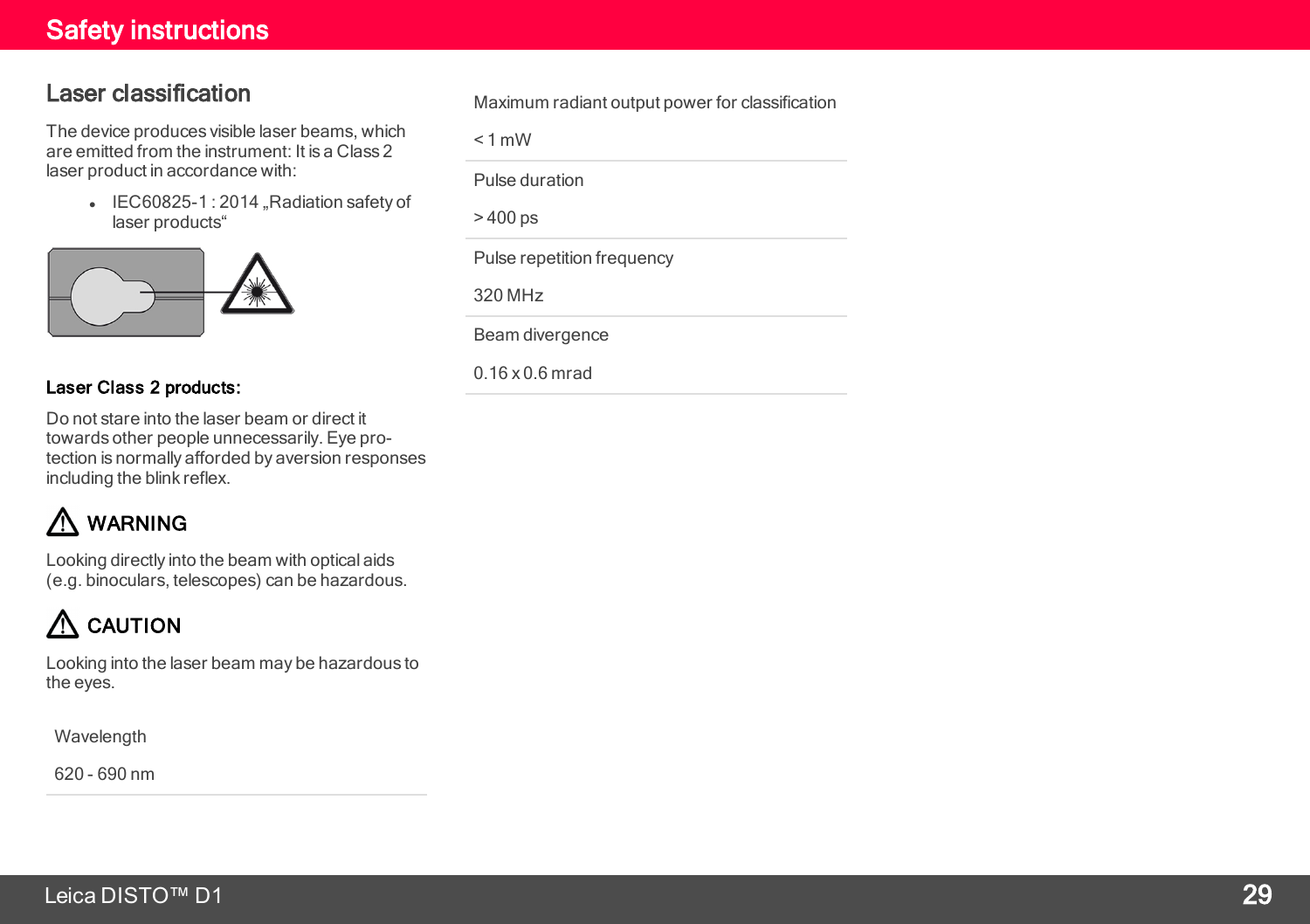#### Laser classification

The device produces visible laser beams, which are emitted from the instrument: It is a Class 2 laser product in accordance with:

> **.** IEC60825-1:2014 .Radiation safety of laser products"



#### Laser Class 2 products:

Do not stare into the laser beam or direct it towards other people unnecessarily. Eye protection is normally afforded by aversion responses including the blink reflex.

## WARNING

Looking directly into the beam with optical aids (e.g. binoculars, telescopes) can be hazardous.

## $\bigwedge$  CAUTION

Looking into the laser beam may be hazardous to the eyes.

Wavelength

620 - 690 nm

Maximum radiant output power for classification

 $< 1$  mW

Pulse duration

 $> 400$  ps

Pulse repetition frequency

320 MHz

Beam divergence

0.16 x 0.6 mrad